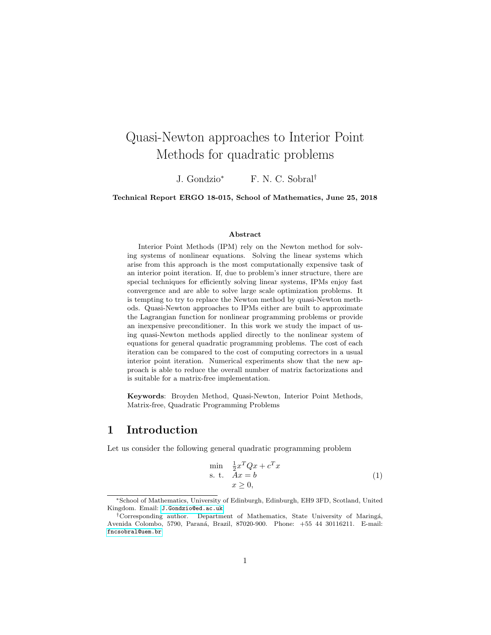# Quasi-Newton approaches to Interior Point Methods for quadratic problems

J. Gondzio<sup>∗</sup> F. N. C. Sobral†

Technical Report ERGO 18-015, School of Mathematics, June 25, 2018

#### Abstract

Interior Point Methods (IPM) rely on the Newton method for solving systems of nonlinear equations. Solving the linear systems which arise from this approach is the most computationally expensive task of an interior point iteration. If, due to problem's inner structure, there are special techniques for efficiently solving linear systems, IPMs enjoy fast convergence and are able to solve large scale optimization problems. It is tempting to try to replace the Newton method by quasi-Newton methods. Quasi-Newton approaches to IPMs either are built to approximate the Lagrangian function for nonlinear programming problems or provide an inexpensive preconditioner. In this work we study the impact of using quasi-Newton methods applied directly to the nonlinear system of equations for general quadratic programming problems. The cost of each iteration can be compared to the cost of computing correctors in a usual interior point iteration. Numerical experiments show that the new approach is able to reduce the overall number of matrix factorizations and is suitable for a matrix-free implementation.

Keywords: Broyden Method, Quasi-Newton, Interior Point Methods, Matrix-free, Quadratic Programming Problems

### <span id="page-0-1"></span>1 Introduction

Let us consider the following general quadratic programming problem

<span id="page-0-0"></span>
$$
\min_{\begin{array}{c}\n\text{min} \quad \frac{1}{2}x^T Q x + c^T x \\
\text{s. t.} \quad Ax = b \\
x \ge 0,\n\end{array} \tag{1}
$$

<sup>∗</sup>School of Mathematics, University of Edinburgh, Edinburgh, EH9 3FD, Scotland, United Kingdom. Email: <J.Gondzio@ed.ac.uk>

<sup>&</sup>lt;sup>†</sup>Corresponding author. Department of Mathematics, State University of Maringá, Avenida Colombo, 5790, Paran´a, Brazil, 87020-900. Phone: +55 44 30116211. E-mail: <fncsobral@uem.br>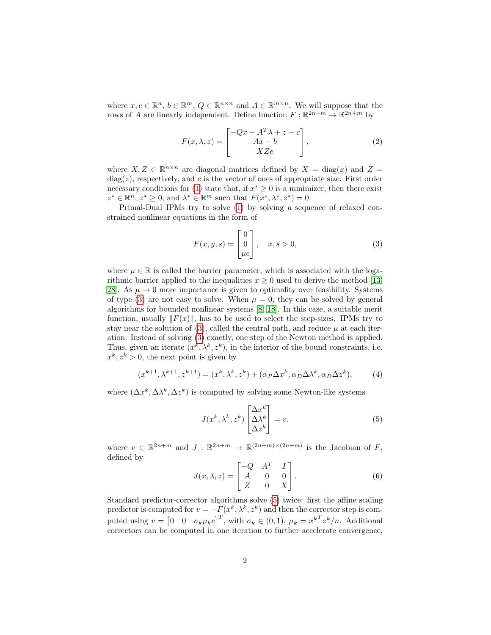where  $x, c \in \mathbb{R}^n$ ,  $b \in \mathbb{R}^m$ ,  $Q \in \mathbb{R}^{n \times n}$  and  $A \in \mathbb{R}^{m \times n}$ . We will suppose that the rows of A are linearly independent. Define function  $F: \mathbb{R}^{2n+m} \to \mathbb{R}^{2n+m}$  by

<span id="page-1-2"></span>
$$
F(x,\lambda,z) = \begin{bmatrix} -Qx + A^T \lambda + z - c \\ Ax - b \\ XZe \end{bmatrix},
$$
 (2)

where  $X, Z \in \mathbb{R}^{n \times n}$  are diagonal matrices defined by  $X = \text{diag}(x)$  and  $Z =$  $diag(z)$ , respectively, and e is the vector of ones of appropriate size. First order necessary conditions for [\(1\)](#page-0-0) state that, if  $x^* \geq 0$  is a minimizer, then there exist  $z^* \in \mathbb{R}^n$ ,  $z^* \geq 0$ , and  $\lambda^* \in \mathbb{R}^m$  such that  $F(x^*, \lambda^*, z^*) = 0$ .

Primal-Dual IPMs try to solve [\(1\)](#page-0-0) by solving a sequence of relaxed constrained nonlinear equations in the form of

<span id="page-1-0"></span>
$$
F(x, y, s) = \begin{bmatrix} 0 \\ 0 \\ \mu e \end{bmatrix}, \quad x, s > 0,
$$
 (3)

where  $\mu \in \mathbb{R}$  is called the barrier parameter, which is associated with the logarithmic barrier applied to the inequalities  $x \geq 0$  used to derive the method [\[13,](#page-25-0) 28. As  $\mu \rightarrow 0$  more importance is given to optimality over feasibility. Systems of type [\(3\)](#page-1-0) are not easy to solve. When  $\mu = 0$ , they can be solved by general algorithms for bounded nonlinear systems [\[8,](#page-25-1) [18\]](#page-26-1). In this case, a suitable merit function, usually  $||F(x)||$ , has to be used to select the step-sizes. IPMs try to stay near the solution of [\(3\)](#page-1-0), called the central path, and reduce  $\mu$  at each iteration. Instead of solving [\(3\)](#page-1-0) exactly, one step of the Newton method is applied. Thus, given an iterate  $(x^k, \lambda^k, z^k)$ , in the interior of the bound constraints, i.e.  $x^k, z^k > 0$ , the next point is given by

<span id="page-1-4"></span>
$$
(x^{k+1}, \lambda^{k+1}, z^{k+1}) = (x^k, \lambda^k, z^k) + (\alpha_P \Delta x^k, \alpha_D \Delta \lambda^k, \alpha_D \Delta z^k), \tag{4}
$$

where  $(\Delta x^k, \Delta \lambda^k, \Delta z^k)$  is computed by solving some Newton-like systems

<span id="page-1-1"></span>
$$
J(x^k, \lambda^k, z^k) \begin{bmatrix} \Delta x^k\\ \Delta \lambda^k\\ \Delta z^k \end{bmatrix} = v,
$$
 (5)

where  $v \in \mathbb{R}^{2n+m}$  and  $J : \mathbb{R}^{2n+m} \to \mathbb{R}^{(2n+m)\times(2n+m)}$  is the Jacobian of F, defined by

<span id="page-1-3"></span>
$$
J(x, \lambda, z) = \begin{bmatrix} -Q & A^T & I \\ A & 0 & 0 \\ Z & 0 & X \end{bmatrix}.
$$
 (6)

Standard predictor-corrector algorithms solve [\(5\)](#page-1-1) twice: first the affine scaling predictor is computed for  $v = -F(x^k, \lambda^k, z^k)$  and then the corrector step is computed using  $v = \begin{bmatrix} 0 & 0 & \sigma_k \mu_k e \end{bmatrix}^T$ , with  $\sigma_k \in (0, 1)$ ,  $\mu_k = x^{k} \lambda^T z^k / n$ . Additional correctors can be computed in one iteration to further accelerate convergence,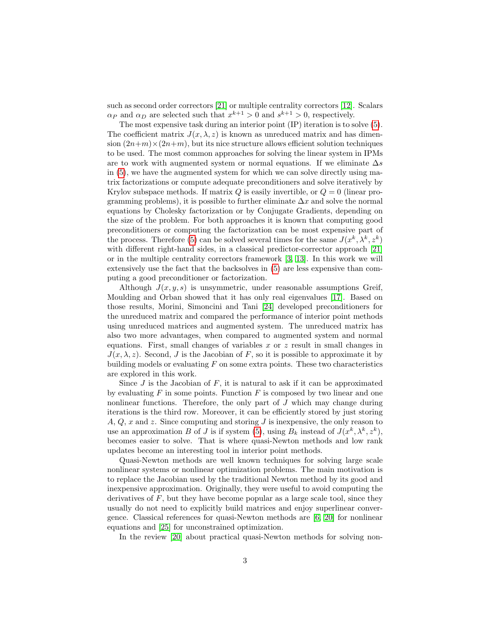such as second order correctors [\[21\]](#page-26-2) or multiple centrality correctors [\[12\]](#page-25-2). Scalars  $\alpha_P$  and  $\alpha_D$  are selected such that  $x^{k+1} > 0$  and  $s^{k+1} > 0$ , respectively.

The most expensive task during an interior point (IP) iteration is to solve [\(5\)](#page-1-1). The coefficient matrix  $J(x, \lambda, z)$  is known as unreduced matrix and has dimension  $(2n+m)\times(2n+m)$ , but its nice structure allows efficient solution techniques to be used. The most common approaches for solving the linear system in IPMs are to work with augmented system or normal equations. If we eliminate  $\Delta s$ in [\(5\)](#page-1-1), we have the augmented system for which we can solve directly using matrix factorizations or compute adequate preconditioners and solve iteratively by Krylov subspace methods. If matrix  $Q$  is easily invertible, or  $Q = 0$  (linear programming problems), it is possible to further eliminate  $\Delta x$  and solve the normal equations by Cholesky factorization or by Conjugate Gradients, depending on the size of the problem. For both approaches it is known that computing good preconditioners or computing the factorization can be most expensive part of the process. Therefore [\(5\)](#page-1-1) can be solved several times for the same  $J(x^k, \lambda^k, z^k)$ with different right-hand sides, in a classical predictor-corrector approach [\[21\]](#page-26-2) or in the multiple centrality correctors framework [\[3,](#page-24-0) [13\]](#page-25-0). In this work we will extensively use the fact that the backsolves in [\(5\)](#page-1-1) are less expensive than computing a good preconditioner or factorization.

Although  $J(x, y, s)$  is unsymmetric, under reasonable assumptions Greif, Moulding and Orban showed that it has only real eigenvalues [\[17\]](#page-26-3). Based on those results, Morini, Simoncini and Tani [\[24\]](#page-26-4) developed preconditioners for the unreduced matrix and compared the performance of interior point methods using unreduced matrices and augmented system. The unreduced matrix has also two more advantages, when compared to augmented system and normal equations. First, small changes of variables  $x$  or  $z$  result in small changes in  $J(x, \lambda, z)$ . Second, J is the Jacobian of F, so it is possible to approximate it by building models or evaluating  $F$  on some extra points. These two characteristics are explored in this work.

Since  $J$  is the Jacobian of  $F$ , it is natural to ask if it can be approximated by evaluating  $F$  in some points. Function  $F$  is composed by two linear and one nonlinear functions. Therefore, the only part of  $J$  which may change during iterations is the third row. Moreover, it can be efficiently stored by just storing  $A, Q, x$  and z. Since computing and storing J is inexpensive, the only reason to use an approximation B of J is if system [\(5\)](#page-1-1), using  $B_k$  instead of  $J(x^k, \lambda^k, z^k)$ , becomes easier to solve. That is where quasi-Newton methods and low rank updates become an interesting tool in interior point methods.

Quasi-Newton methods are well known techniques for solving large scale nonlinear systems or nonlinear optimization problems. The main motivation is to replace the Jacobian used by the traditional Newton method by its good and inexpensive approximation. Originally, they were useful to avoid computing the derivatives of  $F$ , but they have become popular as a large scale tool, since they usually do not need to explicitly build matrices and enjoy superlinear convergence. Classical references for quasi-Newton methods are [\[6,](#page-25-3) [20\]](#page-26-5) for nonlinear equations and [\[25\]](#page-26-6) for unconstrained optimization.

In the review [\[20\]](#page-26-5) about practical quasi-Newton methods for solving non-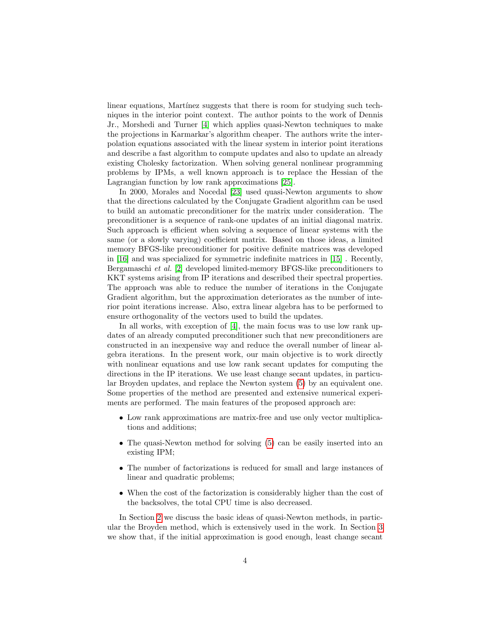linear equations, Martinez suggests that there is room for studying such techniques in the interior point context. The author points to the work of Dennis Jr., Morshedi and Turner [\[4\]](#page-25-4) which applies quasi-Newton techniques to make the projections in Karmarkar's algorithm cheaper. The authors write the interpolation equations associated with the linear system in interior point iterations and describe a fast algorithm to compute updates and also to update an already existing Cholesky factorization. When solving general nonlinear programming problems by IPMs, a well known approach is to replace the Hessian of the Lagrangian function by low rank approximations [\[25\]](#page-26-6).

In 2000, Morales and Nocedal [\[23\]](#page-26-7) used quasi-Newton arguments to show that the directions calculated by the Conjugate Gradient algorithm can be used to build an automatic preconditioner for the matrix under consideration. The preconditioner is a sequence of rank-one updates of an initial diagonal matrix. Such approach is efficient when solving a sequence of linear systems with the same (or a slowly varying) coefficient matrix. Based on those ideas, a limited memory BFGS-like preconditioner for positive definite matrices was developed in [\[16\]](#page-25-5) and was specialized for symmetric indefinite matrices in [\[15\]](#page-25-6) . Recently, Bergamaschi et al. [\[2\]](#page-24-1) developed limited-memory BFGS-like preconditioners to KKT systems arising from IP iterations and described their spectral properties. The approach was able to reduce the number of iterations in the Conjugate Gradient algorithm, but the approximation deteriorates as the number of interior point iterations increase. Also, extra linear algebra has to be performed to ensure orthogonality of the vectors used to build the updates.

In all works, with exception of [\[4\]](#page-25-4), the main focus was to use low rank updates of an already computed preconditioner such that new preconditioners are constructed in an inexpensive way and reduce the overall number of linear algebra iterations. In the present work, our main objective is to work directly with nonlinear equations and use low rank secant updates for computing the directions in the IP iterations. We use least change secant updates, in particular Broyden updates, and replace the Newton system [\(5\)](#page-1-1) by an equivalent one. Some properties of the method are presented and extensive numerical experiments are performed. The main features of the proposed approach are:

- Low rank approximations are matrix-free and use only vector multiplications and additions;
- The quasi-Newton method for solving [\(5\)](#page-1-1) can be easily inserted into an existing IPM;
- The number of factorizations is reduced for small and large instances of linear and quadratic problems;
- When the cost of the factorization is considerably higher than the cost of the backsolves, the total CPU time is also decreased.

In Section [2](#page-4-0) we discuss the basic ideas of quasi-Newton methods, in particular the Broyden method, which is extensively used in the work. In Section [3](#page-6-0) we show that, if the initial approximation is good enough, least change secant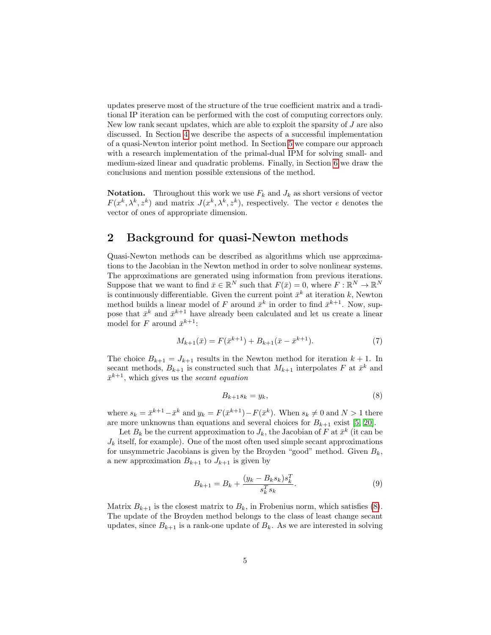updates preserve most of the structure of the true coefficient matrix and a traditional IP iteration can be performed with the cost of computing correctors only. New low rank secant updates, which are able to exploit the sparsity of J are also discussed. In Section [4](#page-12-0) we describe the aspects of a successful implementation of a quasi-Newton interior point method. In Section [5](#page-19-0) we compare our approach with a research implementation of the primal-dual IPM for solving small- and medium-sized linear and quadratic problems. Finally, in Section [6](#page-23-0) we draw the conclusions and mention possible extensions of the method.

**Notation.** Throughout this work we use  $F_k$  and  $J_k$  as short versions of vector  $F(x^k, \lambda^k, z^k)$  and matrix  $J(x^k, \lambda^k, z^k)$ , respectively. The vector e denotes the vector of ones of appropriate dimension.

### <span id="page-4-0"></span>2 Background for quasi-Newton methods

Quasi-Newton methods can be described as algorithms which use approximations to the Jacobian in the Newton method in order to solve nonlinear systems. The approximations are generated using information from previous iterations. Suppose that we want to find  $\bar{x} \in \mathbb{R}^N$  such that  $F(\bar{x}) = 0$ , where  $F : \mathbb{R}^N \to \mathbb{R}^N$ is continuously differentiable. Given the current point  $\bar{x}^k$  at iteration k, Newton method builds a linear model of F around  $\bar{x}^k$  in order to find  $\bar{x}^{k+1}$ . Now, suppose that  $\bar{x}^k$  and  $\bar{x}^{k+1}$  have already been calculated and let us create a linear model for F around  $\bar{x}^{k+1}$ :

<span id="page-4-3"></span>
$$
M_{k+1}(\bar{x}) = F(\bar{x}^{k+1}) + B_{k+1}(\bar{x} - \bar{x}^{k+1}).
$$
\n(7)

The choice  $B_{k+1} = J_{k+1}$  results in the Newton method for iteration  $k + 1$ . In secant methods,  $B_{k+1}$  is constructed such that  $M_{k+1}$  interpolates F at  $\bar{x}^k$  and  $\bar{x}^{k+1}$ , which gives us the *secant equation* 

<span id="page-4-1"></span>
$$
B_{k+1}s_k = y_k,\t\t(8)
$$

where  $s_k = \bar{x}^{k+1} - \bar{x}^k$  and  $y_k = F(\bar{x}^{k+1}) - F(\bar{x}^k)$ . When  $s_k \neq 0$  and  $N > 1$  there are more unknowns than equations and several choices for  $B_{k+1}$  exist [\[5,](#page-25-7) [20\]](#page-26-5).

Let  $B_k$  be the current approximation to  $J_k$ , the Jacobian of F at  $\bar{x}^k$  (it can be  $J_k$  itself, for example). One of the most often used simple secant approximations for unsymmetric Jacobians is given by the Broyden "good" method. Given  $B_k$ , a new approximation  $B_{k+1}$  to  $J_{k+1}$  is given by

<span id="page-4-2"></span>
$$
B_{k+1} = B_k + \frac{(y_k - B_k s_k) s_k^T}{s_k^T s_k}.
$$
\n(9)

Matrix  $B_{k+1}$  is the closest matrix to  $B_k$ , in Frobenius norm, which satisfies [\(8\)](#page-4-1). The update of the Broyden method belongs to the class of least change secant updates, since  $B_{k+1}$  is a rank-one update of  $B_k$ . As we are interested in solving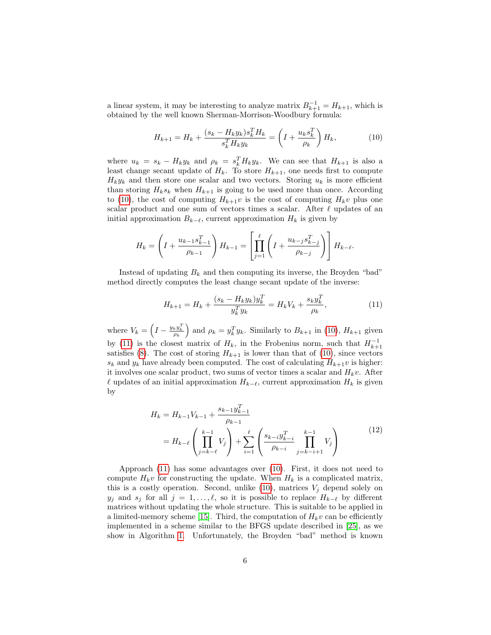a linear system, it may be interesting to analyze matrix  $B_{k+1}^{-1} = H_{k+1}$ , which is obtained by the well known Sherman-Morrison-Woodbury formula:

<span id="page-5-0"></span>
$$
H_{k+1} = H_k + \frac{(s_k - H_k y_k)s_k^T H_k}{s_k^T H_k y_k} = \left(I + \frac{u_k s_k^T}{\rho_k}\right) H_k,
$$
\n(10)

where  $u_k = s_k - H_k y_k$  and  $\rho_k = s_k^T H_k y_k$ . We can see that  $H_{k+1}$  is also a least change secant update of  $H_k$ . To store  $H_{k+1}$ , one needs first to compute  $H_k y_k$  and then store one scalar and two vectors. Storing  $u_k$  is more efficient than storing  $H_k s_k$  when  $H_{k+1}$  is going to be used more than once. According to [\(10\)](#page-5-0), the cost of computing  $H_{k+1}v$  is the cost of computing  $H_kv$  plus one scalar product and one sum of vectors times a scalar. After  $\ell$  updates of an initial approximation  $B_{k-\ell}$ , current approximation  $H_k$  is given by

$$
H_k = \left(I + \frac{u_{k-1} s_{k-1}^T}{\rho_{k-1}}\right) H_{k-1} = \left[\prod_{j=1}^{\ell} \left(I + \frac{u_{k-j} s_{k-j}^T}{\rho_{k-j}}\right)\right] H_{k-\ell}.
$$

Instead of updating  $B_k$  and then computing its inverse, the Broyden "bad" method directly computes the least change secant update of the inverse:

<span id="page-5-1"></span>
$$
H_{k+1} = H_k + \frac{(s_k - H_k y_k) y_k^T}{y_k^T y_k} = H_k V_k + \frac{s_k y_k^T}{\rho_k},
$$
\n(11)

where  $V_k = \left(I - \frac{y_k y_k^T}{\rho_k}\right)$  and  $\rho_k = y_k^T y_k$ . Similarly to  $B_{k+1}$  in [\(10\)](#page-5-0),  $H_{k+1}$  given by [\(11\)](#page-5-1) is the closest matrix of  $H_k$ , in the Frobenius norm, such that  $H_{k+1}^{-1}$ satisfies [\(8\)](#page-4-1). The cost of storing  $H_{k+1}$  is lower than that of [\(10\)](#page-5-0), since vectors  $s_k$  and  $y_k$  have already been computed. The cost of calculating  $H_{k+1}v$  is higher: it involves one scalar product, two sums of vector times a scalar and  $H_kv$ . After  $\ell$  updates of an initial approximation  $H_{k-\ell}$ , current approximation  $H_k$  is given by

$$
H_k = H_{k-1}V_{k-1} + \frac{s_{k-1}y_{k-1}^T}{\rho_{k-1}}
$$
  
=  $H_{k-\ell}$  $\left(\prod_{j=k-\ell}^{k-1} V_j\right) + \sum_{i=1}^{\ell} \left(\frac{s_{k-i}y_{k-i}^T}{\rho_{k-i}} \prod_{j=k-i+1}^{k-1} V_j\right)$  (12)

<span id="page-5-2"></span>Approach [\(11\)](#page-5-1) has some advantages over [\(10\)](#page-5-0). First, it does not need to compute  $H_k v$  for constructing the update. When  $H_k$  is a complicated matrix, this is a costly operation. Second, unlike  $(10)$ , matrices  $V_j$  depend solely on  $y_j$  and  $s_j$  for all  $j = 1, \ldots, \ell$ , so it is possible to replace  $H_{k-\ell}$  by different matrices without updating the whole structure. This is suitable to be applied in a limited-memory scheme [\[15\]](#page-25-6). Third, the computation of  $H_k v$  can be efficiently implemented in a scheme similar to the BFGS update described in [\[25\]](#page-26-6), as we show in Algorithm [1.](#page-6-1) Unfortunately, the Broyden "bad" method is known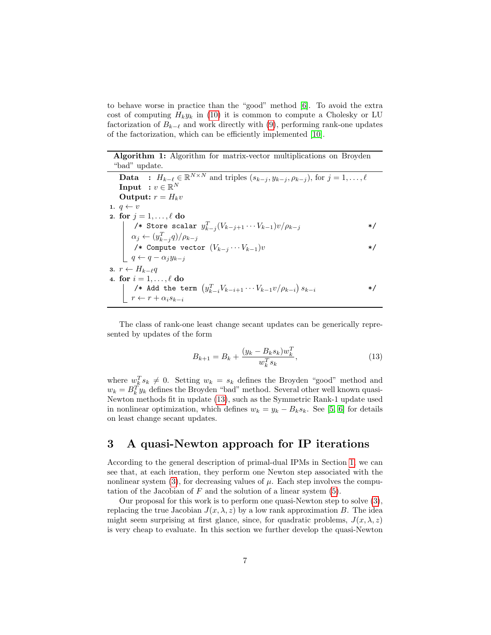to behave worse in practice than the "good" method [\[6\]](#page-25-3). To avoid the extra cost of computing  $H_k y_k$  in [\(10\)](#page-5-0) it is common to compute a Cholesky or LU factorization of  $B_{k-\ell}$  and work directly with [\(9\)](#page-4-2), performing rank-one updates of the factorization, which can be efficiently implemented [\[10\]](#page-25-8).

Algorithm 1: Algorithm for matrix-vector multiplications on Broyden "bad" update.

<span id="page-6-4"></span>**Data** :  $H_{k-\ell} \in \mathbb{R}^{N \times N}$  and triples  $(s_{k-j}, y_{k-j}, \rho_{k-j})$ , for  $j = 1, ..., \ell$  $\mathbf{Input} \; : v \in \mathbb{R}^N$ Output:  $r = H_k v$ 1.  $q \leftarrow v$ 2. for  $j = 1, \ldots, \ell$  do /\* Store scalar  $y_{k-j}^T (V_{k-j+1}\cdots V_{k-1})v/\rho_{k-j}$  \*/  $\alpha_j \leftarrow (y_{k-j}^T q)/\rho_{k-j}$ /\* Compute vector  $(V_{k-j}\cdots V_{k-1})v$  \*/  $q \leftarrow q - \alpha_j y_{k-j}$ 3.  $r \leftarrow H_{k-\ell}q$ 4. for  $i = 1, \ldots, \ell$  do /\* Add the term  $(y_{k-i}^T V_{k-i+1} \cdots V_{k-1} v / \rho_{k-i}) s_{k-i}$  \*/  $r \leftarrow r + \alpha_i s_{k-i}$ 

<span id="page-6-3"></span><span id="page-6-1"></span>The class of rank-one least change secant updates can be generically represented by updates of the form

<span id="page-6-2"></span>
$$
B_{k+1} = B_k + \frac{(y_k - B_k s_k) w_k^T}{w_k^T s_k},
$$
\n(13)

where  $w_k^T s_k \neq 0$ . Setting  $w_k = s_k$  defines the Broyden "good" method and  $w_k = B_k^T y_k$  defines the Broyden "bad" method. Several other well known quasi-Newton methods fit in update [\(13\)](#page-6-2), such as the Symmetric Rank-1 update used in nonlinear optimization, which defines  $w_k = y_k - B_k s_k$ . See [\[5,](#page-25-7) [6\]](#page-25-3) for details on least change secant updates.

### <span id="page-6-0"></span>3 A quasi-Newton approach for IP iterations

According to the general description of primal-dual IPMs in Section [1,](#page-0-1) we can see that, at each iteration, they perform one Newton step associated with the nonlinear system  $(3)$ , for decreasing values of  $\mu$ . Each step involves the computation of the Jacobian of  $F$  and the solution of a linear system  $(5)$ .

Our proposal for this work is to perform one quasi-Newton step to solve [\(3\)](#page-1-0), replacing the true Jacobian  $J(x, \lambda, z)$  by a low rank approximation B. The idea might seem surprising at first glance, since, for quadratic problems,  $J(x, \lambda, z)$ is very cheap to evaluate. In this section we further develop the quasi-Newton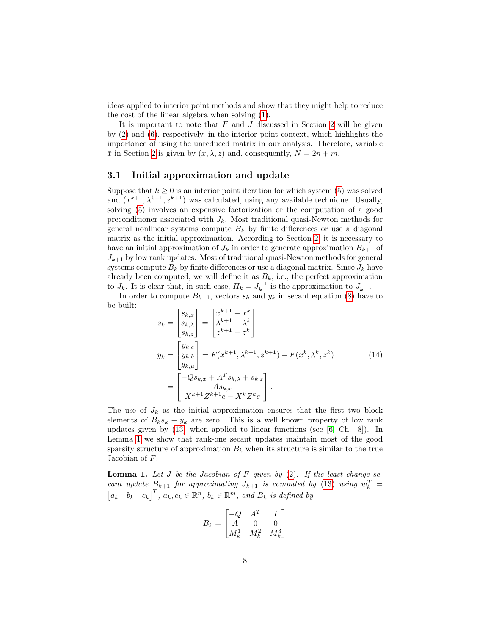ideas applied to interior point methods and show that they might help to reduce the cost of the linear algebra when solving [\(1\)](#page-0-0).

It is important to note that  $F$  and  $J$  discussed in Section [2](#page-4-0) will be given by [\(2\)](#page-1-2) and [\(6\)](#page-1-3), respectively, in the interior point context, which highlights the importance of using the unreduced matrix in our analysis. Therefore, variable  $\bar{x}$  in Section [2](#page-4-0) is given by  $(x, \lambda, z)$  and, consequently,  $N = 2n + m$ .

#### 3.1 Initial approximation and update

Suppose that  $k > 0$  is an interior point iteration for which system [\(5\)](#page-1-1) was solved and  $(x^{k+1}, \lambda^{k+1}, z^{k+1})$  was calculated, using any available technique. Usually, solving [\(5\)](#page-1-1) involves an expensive factorization or the computation of a good preconditioner associated with  $J_k$ . Most traditional quasi-Newton methods for general nonlinear systems compute  $B_k$  by finite differences or use a diagonal matrix as the initial approximation. According to Section [2,](#page-4-0) it is necessary to have an initial approximation of  $J_k$  in order to generate approximation  $B_{k+1}$  of  $J_{k+1}$  by low rank updates. Most of traditional quasi-Newton methods for general systems compute  $B_k$  by finite differences or use a diagonal matrix. Since  $J_k$  have already been computed, we will define it as  $B_k$ , i.e., the perfect approximation to  $J_k$ . It is clear that, in such case,  $H_k = J_k^{-1}$  is the approximation to  $J_k^{-1}$ .

In order to compute  $B_{k+1}$ , vectors  $s_k$  and  $y_k$  in secant equation [\(8\)](#page-4-1) have to be built:  $\frac{1}{2}$   $\frac{1}{2}$   $\frac{1}{2}$ 

<span id="page-7-1"></span>
$$
s_{k} = \begin{bmatrix} s_{k,x} \\ s_{k,\lambda} \\ s_{k,z} \end{bmatrix} = \begin{bmatrix} x^{k+1} - x^{k} \\ \lambda^{k+1} - \lambda^{k} \\ z^{k+1} - z^{k} \end{bmatrix}
$$
  
\n
$$
y_{k} = \begin{bmatrix} y_{k,c} \\ y_{k,b} \\ y_{k,\mu} \end{bmatrix} = F(x^{k+1}, \lambda^{k+1}, z^{k+1}) - F(x^{k}, \lambda^{k}, z^{k})
$$
  
\n
$$
= \begin{bmatrix} -Qs_{k,x} + A^{T}s_{k,\lambda} + s_{k,z} \\ A s_{k,x} \\ X^{k+1} Z^{k+1} e - X^{k} Z^{k} e \end{bmatrix}.
$$
 (14)

The use of  $J_k$  as the initial approximation ensures that the first two block elements of  $B_ks_k - y_k$  are zero. This is a well known property of low rank updates given by  $(13)$  when applied to linear functions (see [\[6,](#page-25-3) Ch. 8]). In Lemma [1](#page-7-0) we show that rank-one secant updates maintain most of the good sparsity structure of approximation  $B_k$  when its structure is similar to the true Jacobian of F.

<span id="page-7-0"></span>**Lemma 1.** Let  $J$  be the Jacobian of  $F$  given by [\(2\)](#page-1-2). If the least change secant update  $B_{k+1}$  for approximating  $J_{k+1}$  is computed by [\(13\)](#page-6-2) using  $w_k^T =$  $[a_k \quad b_k \quad c_k]^T$ ,  $a_k, c_k \in \mathbb{R}^n$ ,  $b_k \in \mathbb{R}^m$ , and  $B_k$  is defined by

$$
B_k = \begin{bmatrix} -Q & A^T & I \\ A & 0 & 0 \\ M_k^1 & M_k^2 & M_k^3 \end{bmatrix}
$$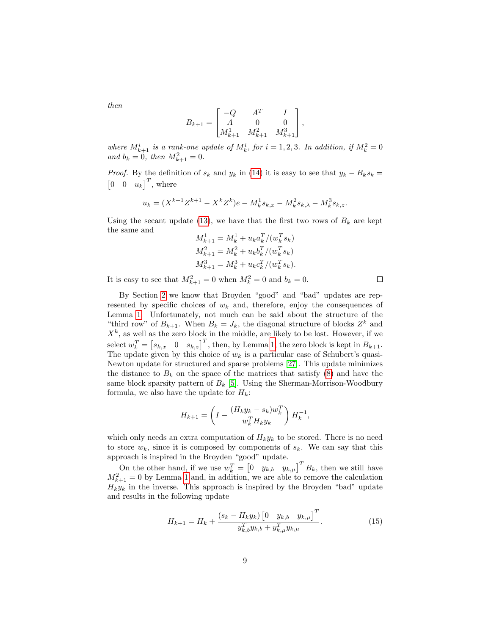$$
B_{k+1} = \begin{bmatrix} -Q & A^T & I \\ A & 0 & 0 \\ M_{k+1}^1 & M_{k+1}^2 & M_{k+1}^3 \end{bmatrix},
$$

where  $M_{k+1}^i$  is a rank-one update of  $M_k^i$ , for  $i = 1, 2, 3$ . In addition, if  $M_k^2 = 0$ and  $b_k = 0$ , then  $M_{k+1}^2 = 0$ .

*Proof.* By the definition of  $s_k$  and  $y_k$  in [\(14\)](#page-7-1) it is easy to see that  $y_k - B_k s_k =$  $\begin{bmatrix} 0 & 0 & u_k \end{bmatrix}^T$ , where

$$
u_k=(X^{k+1}Z^{k+1}-X^kZ^k)e-M_k^1s_{k,x}-M_k^2s_{k,\lambda}-M_k^3s_{k,z}.
$$

Using the secant update [\(13\)](#page-6-2), we have that the first two rows of  $B_k$  are kept the same and

$$
M_{k+1}^1 = M_k^1 + u_k a_k^T / (w_k^T s_k)
$$
  
\n
$$
M_{k+1}^2 = M_k^2 + u_k b_k^T / (w_k^T s_k)
$$
  
\n
$$
M_{k+1}^3 = M_k^3 + u_k c_k^T / (w_k^T s_k).
$$

It is easy to see that  $M_{k+1}^2 = 0$  when  $M_k^2 = 0$  and  $b_k = 0$ .

By Section [2](#page-4-0) we know that Broyden "good" and "bad" updates are represented by specific choices of  $w_k$  and, therefore, enjoy the consequences of Lemma [1.](#page-7-0) Unfortunately, not much can be said about the structure of the "third row" of  $B_{k+1}$ . When  $B_k = J_k$ , the diagonal structure of blocks  $Z^k$  and  $X<sup>k</sup>$ , as well as the zero block in the middle, are likely to be lost. However, if we select  $w_k^T = [s_{k,x} \quad 0 \quad s_{k,z}]^T$ , then, by Lemma [1,](#page-7-0) the zero block is kept in  $B_{k+1}$ . The update given by this choice of  $w_k$  is a particular case of Schubert's quasi-Newton update for structured and sparse problems [\[27\]](#page-26-8). This update minimizes the distance to  $B_k$  on the space of the matrices that satisfy  $(8)$  and have the same block sparsity pattern of  $B_k$  [\[5\]](#page-25-7). Using the Sherman-Morrison-Woodbury formula, we also have the update for  $H_k$ :

$$
H_{k+1} = \left(I - \frac{(H_k y_k - s_k) w_k^T}{w_k^T H_k y_k}\right) H_k^{-1},
$$

which only needs an extra computation of  $H_k y_k$  to be stored. There is no need to store  $w_k$ , since it is composed by components of  $s_k$ . We can say that this approach is inspired in the Broyden "good" update.

On the other hand, if we use  $w_k^T = \begin{bmatrix} 0 & y_{k,b} & y_{k,\mu} \end{bmatrix}^T B_k$ , then we still have  $M_{k+1}^2 = 0$  by Lemma [1](#page-7-0) and, in addition, we are able to remove the calculation  $H_k y_k$  in the inverse. This approach is inspired by the Broyden "bad" update and results in the following update

<span id="page-8-0"></span>
$$
H_{k+1} = H_k + \frac{(s_k - H_k y_k) [0 y_{k,b} y_{k,\mu}]^T}{y_{k,b}^T y_{k,b} + y_{k,\mu}^T y_{k,\mu}}.
$$
 (15)

then

 $\Box$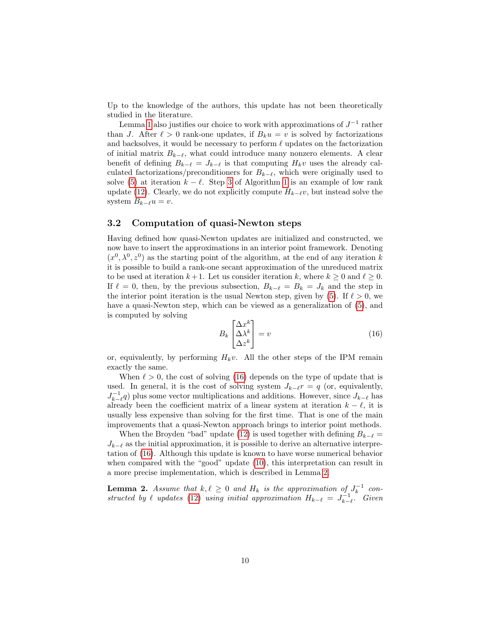Up to the knowledge of the authors, this update has not been theoretically studied in the literature.

Lemma [1](#page-7-0) also justifies our choice to work with approximations of  $J^{-1}$  rather than J. After  $\ell > 0$  rank-one updates, if  $B_k u = v$  is solved by factorizations and backsolves, it would be necessary to perform  $\ell$  updates on the factorization of initial matrix  $B_{k-\ell}$ , what could introduce many nonzero elements. A clear benefit of defining  $B_{k-\ell} = J_{k-\ell}$  is that computing  $H_kv$  uses the already calculated factorizations/preconditioners for  $B_{k-\ell}$ , which were originally used to solve [\(5\)](#page-1-1) at iteration  $k - \ell$ . Step [3](#page-6-3) of Algorithm [1](#page-6-1) is an example of low rank update [\(12\)](#page-5-2). Clearly, we do not explicitly compute  $H_{k-\ell}v$ , but instead solve the system  $B_{k-\ell}u = v$ .

### 3.2 Computation of quasi-Newton steps

Having defined how quasi-Newton updates are initialized and constructed, we now have to insert the approximations in an interior point framework. Denoting  $(x^0, \lambda^0, z^0)$  as the starting point of the algorithm, at the end of any iteration k it is possible to build a rank-one secant approximation of the unreduced matrix to be used at iteration  $k+1$ . Let us consider iteration k, where  $k \geq 0$  and  $\ell \geq 0$ . If  $\ell = 0$ , then, by the previous subsection,  $B_{k-\ell} = B_k = J_k$  and the step in the interior point iteration is the usual Newton step, given by [\(5\)](#page-1-1). If  $\ell > 0$ , we have a quasi-Newton step, which can be viewed as a generalization of [\(5\)](#page-1-1), and is computed by solving

<span id="page-9-0"></span>
$$
B_k \begin{bmatrix} \Delta x^k \\ \Delta \lambda^k \\ \Delta z^k \end{bmatrix} = v \tag{16}
$$

or, equivalently, by performing  $H_kv$ . All the other steps of the IPM remain exactly the same.

When  $\ell > 0$ , the cost of solving [\(16\)](#page-9-0) depends on the type of update that is used. In general, it is the cost of solving system  $J_{k-\ell}r = q$  (or, equivalently,  $J_{k-\ell}^{-1}(q)$  plus some vector multiplications and additions. However, since  $J_{k-\ell}$  has already been the coefficient matrix of a linear system at iteration  $k - \ell$ , it is usually less expensive than solving for the first time. That is one of the main improvements that a quasi-Newton approach brings to interior point methods.

When the Broyden "bad" update [\(12\)](#page-5-2) is used together with defining  $B_{k-\ell} =$  $J_{k-\ell}$  as the initial approximation, it is possible to derive an alternative interpretation of [\(16\)](#page-9-0). Although this update is known to have worse numerical behavior when compared with the "good" update [\(10\)](#page-5-0), this interpretation can result in a more precise implementation, which is described in Lemma [2.](#page-9-1)

<span id="page-9-1"></span>**Lemma 2.** Assume that  $k, \ell \geq 0$  and  $H_k$  is the approximation of  $J_k^{-1}$  constructed by  $\ell$  updates [\(12\)](#page-5-2) using initial approximation  $H_{k-\ell} = J_{k-\ell}^{-1}$ . Given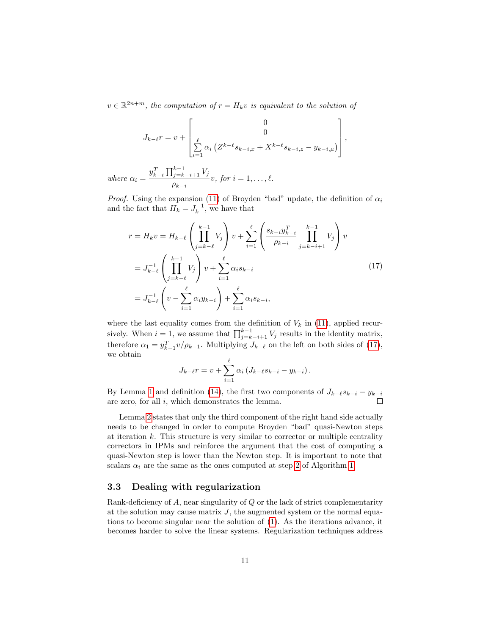$v \in \mathbb{R}^{2n+m}$ , the computation of  $r = H_k v$  is equivalent to the solution of

$$
J_{k-\ell}r = v + \begin{bmatrix} 0 \\ 0 \\ \sum_{i=1}^{\ell} \alpha_i (Z^{k-\ell}s_{k-i,x} + X^{k-\ell}s_{k-i,z} - y_{k-i,\mu}) \end{bmatrix}
$$

,

where  $\alpha_i =$  $y_{k-i}^T \prod_{j=k-i+1}^{k-1} V_j$  $\frac{\rho_{ij=k-i+1}}{\rho_{k-i}} v, for i = 1, \ldots, \ell.$ 

*Proof.* Using the expansion [\(11\)](#page-5-1) of Broyden "bad" update, the definition of  $\alpha_i$ and the fact that  $H_k = J_k^{-1}$ , we have that

<span id="page-10-0"></span>
$$
r = H_k v = H_{k-\ell} \left( \prod_{j=k-\ell}^{k-1} V_j \right) v + \sum_{i=1}^{\ell} \left( \frac{s_{k-i} y_{k-i}^T}{\rho_{k-i}} \prod_{j=k-i+1}^{k-1} V_j \right) v
$$
  
=  $J_{k-\ell}^{-1} \left( \prod_{j=k-\ell}^{k-1} V_j \right) v + \sum_{i=1}^{\ell} \alpha_i s_{k-i}$   
=  $J_{k-\ell}^{-1} \left( v - \sum_{i=1}^{\ell} \alpha_i y_{k-i} \right) + \sum_{i=1}^{\ell} \alpha_i s_{k-i},$  (17)

where the last equality comes from the definition of  $V_k$  in [\(11\)](#page-5-1), applied recursively. When  $i = 1$ , we assume that  $\prod_{j=k-i+1}^{k-1} V_j$  results in the identity matrix, therefore  $\alpha_1 = y_{k-1}^T v / \rho_{k-1}$ . Multiplying  $J_{k-\ell}$  on the left on both sides of [\(17\)](#page-10-0), we obtain

$$
J_{k-\ell}r = v + \sum_{i=1}^{\ell} \alpha_i (J_{k-\ell} s_{k-i} - y_{k-i}).
$$

By Lemma [1](#page-7-0) and definition [\(14\)](#page-7-1), the first two components of  $J_{k-\ell}s_{k-i} - y_{k-i}$ are zero, for all  $i$ , which demonstrates the lemma.  $\Box$ 

Lemma [2](#page-9-1) states that only the third component of the right hand side actually needs to be changed in order to compute Broyden "bad" quasi-Newton steps at iteration  $k$ . This structure is very similar to corrector or multiple centrality correctors in IPMs and reinforce the argument that the cost of computing a quasi-Newton step is lower than the Newton step. It is important to note that scalars  $\alpha_i$  are the same as the ones computed at step [2](#page-6-4) of Algorithm [1.](#page-6-1)

#### 3.3 Dealing with regularization

Rank-deficiency of A, near singularity of Q or the lack of strict complementarity at the solution may cause matrix  $J$ , the augmented system or the normal equations to become singular near the solution of [\(1\)](#page-0-0). As the iterations advance, it becomes harder to solve the linear systems. Regularization techniques address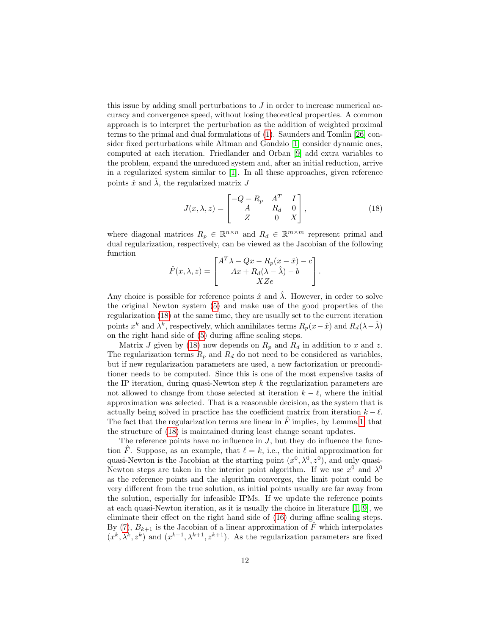this issue by adding small perturbations to  $J$  in order to increase numerical accuracy and convergence speed, without losing theoretical properties. A common approach is to interpret the perturbation as the addition of weighted proximal terms to the primal and dual formulations of [\(1\)](#page-0-0). Saunders and Tomlin [\[26\]](#page-26-9) consider fixed perturbations while Altman and Gondzio [\[1\]](#page-24-2) consider dynamic ones, computed at each iteration. Friedlander and Orban [\[9\]](#page-25-9) add extra variables to the problem, expand the unreduced system and, after an initial reduction, arrive in a regularized system similar to [\[1\]](#page-24-2). In all these approaches, given reference points  $\hat{x}$  and  $\lambda$ , the regularized matrix J

<span id="page-11-0"></span>
$$
J(x,\lambda,z) = \begin{bmatrix} -Q - R_p & A^T & I \\ A & R_d & 0 \\ Z & 0 & X \end{bmatrix},
$$
 (18)

where diagonal matrices  $R_p \in \mathbb{R}^{n \times n}$  and  $R_d \in \mathbb{R}^{m \times m}$  represent primal and dual regularization, respectively, can be viewed as the Jacobian of the following function

$$
\hat{F}(x,\lambda,z) = \begin{bmatrix} A^T \lambda - Qx - R_p(x-\hat{x}) - c \\ Ax + R_d(\lambda - \hat{\lambda}) - b \\ XZe \end{bmatrix}.
$$

Any choice is possible for reference points  $\hat{x}$  and  $\hat{\lambda}$ . However, in order to solve the original Newton system [\(5\)](#page-1-1) and make use of the good properties of the regularization [\(18\)](#page-11-0) at the same time, they are usually set to the current iteration points  $x^k$  and  $\lambda^k$ , respectively, which annihilates terms  $R_p(x-\hat{x})$  and  $R_d(\lambda-\hat{\lambda})$ on the right hand side of [\(5\)](#page-1-1) during affine scaling steps.

Matrix J given by [\(18\)](#page-11-0) now depends on  $R_p$  and  $R_d$  in addition to x and z. The regularization terms  $R_p$  and  $R_d$  do not need to be considered as variables, but if new regularization parameters are used, a new factorization or preconditioner needs to be computed. Since this is one of the most expensive tasks of the IP iteration, during quasi-Newton step  $k$  the regularization parameters are not allowed to change from those selected at iteration  $k - \ell$ , where the initial approximation was selected. That is a reasonable decision, as the system that is actually being solved in practice has the coefficient matrix from iteration  $k - \ell$ . The fact that the regularization terms are linear in  $\tilde{F}$  implies, by Lemma [1,](#page-7-0) that the structure of [\(18\)](#page-11-0) is maintained during least change secant updates.

The reference points have no influence in  $J$ , but they do influence the function F. Suppose, as an example, that  $\ell = k$ , i.e., the initial approximation for quasi-Newton is the Jacobian at the starting point  $(x^0, \lambda^0, z^0)$ , and only quasi-Newton steps are taken in the interior point algorithm. If we use  $x^0$  and  $\lambda^0$ as the reference points and the algorithm converges, the limit point could be very different from the true solution, as initial points usually are far away from the solution, especially for infeasible IPMs. If we update the reference points at each quasi-Newton iteration, as it is usually the choice in literature  $[1, 9]$  $[1, 9]$ , we eliminate their effect on the right hand side of [\(16\)](#page-9-0) during affine scaling steps. By [\(7\)](#page-4-3),  $B_{k+1}$  is the Jacobian of a linear approximation of  $\hat{F}$  which interpolates  $(x^k, \lambda^k, z^k)$  and  $(x^{k+1}, \lambda^{k+1}, z^{k+1})$ . As the regularization parameters are fixed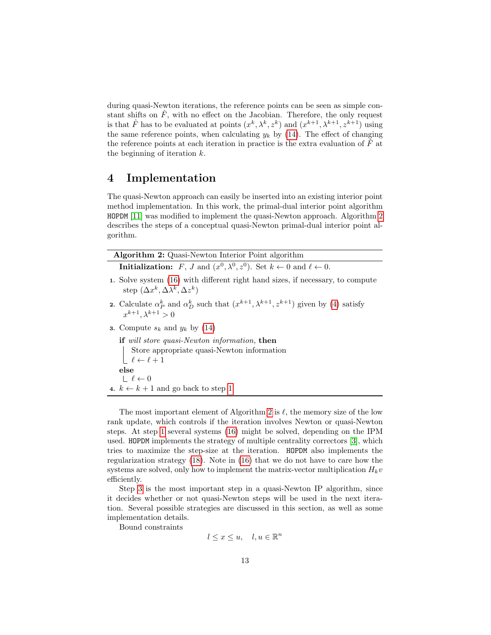during quasi-Newton iterations, the reference points can be seen as simple constant shifts on  $\hat{F}$ , with no effect on the Jacobian. Therefore, the only request is that  $\hat{F}$  has to be evaluated at points  $(x^k, \lambda^k, z^k)$  and  $(x^{k+1}, \lambda^{k+1}, z^{k+1})$  using the same reference points, when calculating  $y_k$  by [\(14\)](#page-7-1). The effect of changing the reference points at each iteration in practice is the extra evaluation of  $F^{\dagger}$  at the beginning of iteration k.

### <span id="page-12-0"></span>4 Implementation

The quasi-Newton approach can easily be inserted into an existing interior point method implementation. In this work, the primal-dual interior point algorithm HOPDM [\[11\]](#page-25-10) was modified to implement the quasi-Newton approach. Algorithm [2](#page-12-1) describes the steps of a conceptual quasi-Newton primal-dual interior point algorithm.

<span id="page-12-3"></span><span id="page-12-2"></span>

| <b>Algorithm 2:</b> Quasi-Newton Interior Point algorithm                                                                                                                       |  |  |  |  |  |  |
|---------------------------------------------------------------------------------------------------------------------------------------------------------------------------------|--|--|--|--|--|--|
| <b>Initialization:</b> F, J and $(x^0, \lambda^0, z^0)$ . Set $k \leftarrow 0$ and $\ell \leftarrow 0$ .                                                                        |  |  |  |  |  |  |
| 1. Solve system (16) with different right hand sizes, if necessary, to compute<br>step $(\Delta x^k, \Delta \lambda^k, \Delta z^k)$                                             |  |  |  |  |  |  |
| <b>2.</b> Calculate $\alpha_P^k$ and $\alpha_D^k$ such that $(x^{k+1}, \lambda^{k+1}, z^{k+1})$ given by (4) satisfy<br>$x^{k+1}$ , $\lambda^{k+1} > 0$                         |  |  |  |  |  |  |
| <b>3.</b> Compute $s_k$ and $y_k$ by (14)                                                                                                                                       |  |  |  |  |  |  |
| <b>if</b> will store quasi-Newton information, then<br>Store appropriate quasi-Newton information<br>$\left\lfloor \begin{array}{c} \ell \leftarrow \ell+1 \end{array} \right.$ |  |  |  |  |  |  |
| else<br>$\ell \leftarrow 0$                                                                                                                                                     |  |  |  |  |  |  |
| 4. $k \leftarrow k + 1$ and go back to step 1                                                                                                                                   |  |  |  |  |  |  |
|                                                                                                                                                                                 |  |  |  |  |  |  |

<span id="page-12-1"></span>The most important element of Algorithm [2](#page-12-1) is  $\ell$ , the memory size of the low rank update, which controls if the iteration involves Newton or quasi-Newton steps. At step [1](#page-12-2) several systems [\(16\)](#page-9-0) might be solved, depending on the IPM used. HOPDM implements the strategy of multiple centrality correctors [\[3\]](#page-24-0), which tries to maximize the step-size at the iteration. HOPDM also implements the regularization strategy [\(18\)](#page-11-0). Note in [\(16\)](#page-9-0) that we do not have to care how the systems are solved, only how to implement the matrix-vector multiplication  $H_kv$ efficiently.

Step [3](#page-12-3) is the most important step in a quasi-Newton IP algorithm, since it decides whether or not quasi-Newton steps will be used in the next iteration. Several possible strategies are discussed in this section, as well as some implementation details.

Bound constraints

 $l \leq x \leq u, \quad l, u \in \mathbb{R}^n$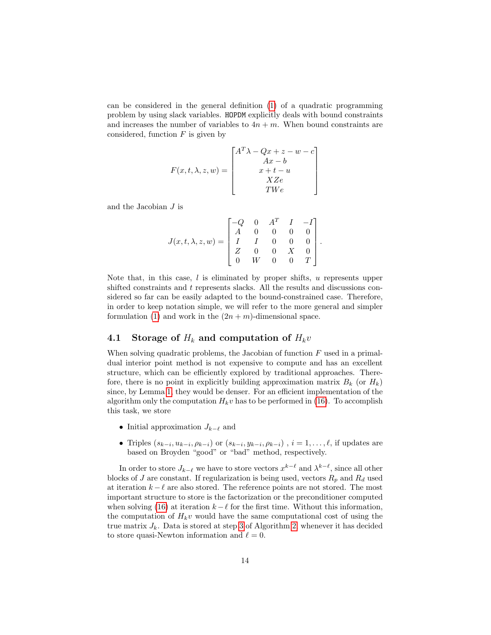can be considered in the general definition [\(1\)](#page-0-0) of a quadratic programming problem by using slack variables. HOPDM explicitly deals with bound constraints and increases the number of variables to  $4n + m$ . When bound constraints are considered, function  $F$  is given by

$$
F(x, t, \lambda, z, w) = \begin{bmatrix} A^T \lambda - Qx + z - w - c \\ Ax - b \\ x + t - u \\ XZe \\ TW e \end{bmatrix}
$$

and the Jacobian J is

$$
J(x,t,\lambda,z,w) = \begin{bmatrix} -Q & 0 & A^T & I & -I \\ A & 0 & 0 & 0 & 0 \\ I & I & 0 & 0 & 0 \\ Z & 0 & 0 & X & 0 \\ 0 & W & 0 & 0 & T \end{bmatrix}
$$

.

Note that, in this case,  $l$  is eliminated by proper shifts,  $u$  represents upper shifted constraints and t represents slacks. All the results and discussions considered so far can be easily adapted to the bound-constrained case. Therefore, in order to keep notation simple, we will refer to the more general and simpler formulation [\(1\)](#page-0-0) and work in the  $(2n + m)$ -dimensional space.

#### 4.1 Storage of  $H_k$  and computation of  $H_kv$

When solving quadratic problems, the Jacobian of function  $F$  used in a primaldual interior point method is not expensive to compute and has an excellent structure, which can be efficiently explored by traditional approaches. Therefore, there is no point in explicitly building approximation matrix  $B_k$  (or  $H_k$ ) since, by Lemma [1,](#page-7-0) they would be denser. For an efficient implementation of the algorithm only the computation  $H_k v$  has to be performed in [\(16\)](#page-9-0). To accomplish this task, we store

- Initial approximation  $J_{k-\ell}$  and
- Triples  $(s_{k-i}, u_{k-i}, \rho_{k-i})$  or  $(s_{k-i}, y_{k-i}, \rho_{k-i})$ ,  $i = 1, \ldots, \ell$ , if updates are based on Broyden "good" or "bad" method, respectively.

In order to store  $J_{k-\ell}$  we have to store vectors  $x^{k-\ell}$  and  $\lambda^{k-\ell}$ , since all other blocks of J are constant. If regularization is being used, vectors  $R_p$  and  $R_d$  used at iteration  $k - \ell$  are also stored. The reference points are not stored. The most important structure to store is the factorization or the preconditioner computed when solving [\(16\)](#page-9-0) at iteration  $k - \ell$  for the first time. Without this information, the computation of  $H_k v$  would have the same computational cost of using the true matrix  $J_k$ . Data is stored at step [3](#page-12-3) of Algorithm [2,](#page-12-1) whenever it has decided to store quasi-Newton information and  $\ell = 0$ .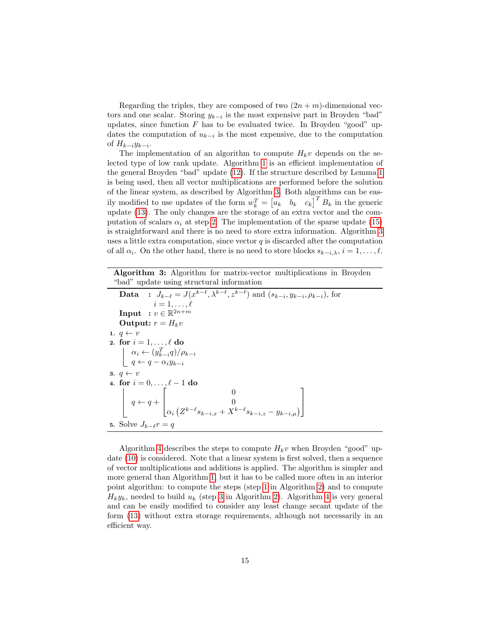Regarding the triples, they are composed of two  $(2n + m)$ -dimensional vectors and one scalar. Storing  $y_{k-i}$  is the most expensive part in Broyden "bad" updates, since function  $F$  has to be evaluated twice. In Broyden "good" updates the computation of  $u_{k-i}$  is the most expensive, due to the computation of  $H_{k-i}y_{k-i}$ .

The implementation of an algorithm to compute  $H_kv$  depends on the selected type of low rank update. Algorithm [1](#page-6-1) is an efficient implementation of the general Broyden "bad" update [\(12\)](#page-5-2). If the structure described by Lemma [1](#page-7-0) is being used, then all vector multiplications are performed before the solution of the linear system, as described by Algorithm [3.](#page-14-0) Both algorithms can be easily modified to use updates of the form  $w_k^T = \begin{bmatrix} a_k & b_k & c_k \end{bmatrix}^T B_k$  in the generic update [\(13\)](#page-6-2). The only changes are the storage of an extra vector and the computation of scalars  $\alpha_i$  at step [2.](#page-6-4) The implementation of the sparse update [\(15\)](#page-8-0) is straightforward and there is no need to store extra information. Algorithm [3](#page-14-0) uses a little extra computation, since vector  $q$  is discarded after the computation of all  $\alpha_i$ . On the other hand, there is no need to store blocks  $s_{k-i,\lambda}, i = 1, \ldots, \ell$ .

Algorithm 3: Algorithm for matrix-vector multiplications in Broyden "bad" update using structural information

**Data** :  $J_{k-\ell} = J(x^{k-\ell}, \lambda^{k-\ell}, z^{k-\ell})$  and  $(s_{k-i}, y_{k-i}, \rho_{k-i})$ , for  $i = 1, \ldots, \ell$ Input  $: v \in \mathbb{R}^{2n+m}$ Output:  $r = H_k v$ 1.  $q \leftarrow v$ 2. for  $i = 1, \ldots, \ell$  do  $\alpha_i \leftarrow (y_{k-i}^T q)/\rho_{k-i}$  $q \leftarrow q - \alpha_i y_{k-i}$ 3.  $q \leftarrow v$ 4. for  $i = 0, \ldots, \ell - 1$  do  $q \leftarrow q +$  $\sqrt{ }$  $\overline{1}$ 0 0  $\alpha_i \left( Z^{k-\ell} s_{k-i,x} + X^{k-\ell} s_{k-i,x} - y_{k-i,\mu} \right)$ 1  $\vert$ 5. Solve  $J_{k-\ell}r = q$ 

<span id="page-14-0"></span>Algorithm [4](#page-15-0) describes the steps to compute  $H_kv$  when Broyden "good" up-date [\(10\)](#page-5-0) is considered. Note that a linear system is first solved, then a sequence of vector multiplications and additions is applied. The algorithm is simpler and more general than Algorithm [1,](#page-6-1) but it has to be called more often in an interior point algorithm: to compute the steps (step [1](#page-12-2) in Algorithm [2\)](#page-12-1) and to compute  $H_ky_k$ , needed to build  $u_k$  (step [3](#page-12-3) in Algorithm [2\)](#page-12-1). Algorithm [4](#page-15-0) is very general and can be easily modified to consider any least change secant update of the form [\(13\)](#page-6-2) without extra storage requirements, although not necessarily in an efficient way.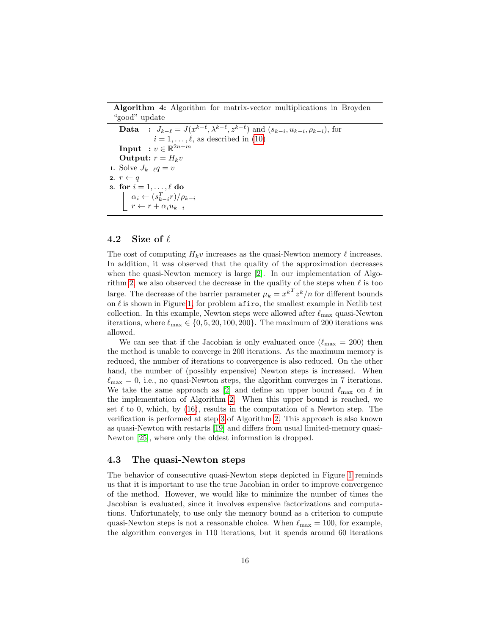Algorithm 4: Algorithm for matrix-vector multiplications in Broyden "good" update

```
Data : J_{k-\ell} = J(x^{k-\ell}, \lambda^{k-\ell}, z^{k-\ell}) and (s_{k-i}, u_{k-i}, \rho_{k-i}), for
                  i = 1, \ldots, \ell(10)
    Input : v \in \mathbb{R}^{2n+m}Output: r = H_k v1. Solve J_{k-\ell}q = v2. r \leftarrow q3. for i = 1, \ldots, \ell do
         \alpha_i \leftarrow (s_{k-i}^T r)/\rho_{k-i}r \leftarrow r + \alpha_i u_{k-i}
```
#### <span id="page-15-0"></span>4.2 Size of  $\ell$

The cost of computing  $H_k v$  increases as the quasi-Newton memory  $\ell$  increases. In addition, it was observed that the quality of the approximation decreases when the quasi-Newton memory is large [\[2\]](#page-24-1). In our implementation of Algo-rithm [2,](#page-12-1) we also observed the decrease in the quality of the steps when  $\ell$  is too large. The decrease of the barrier parameter  $\mu_k = x^{kT} z^k/n$  for different bounds on  $\ell$  is shown in Figure [1,](#page-16-0) for problem afiro, the smallest example in Netlib test collection. In this example, Newton steps were allowed after  $\ell_{\rm max}$  quasi-Newton iterations, where  $\ell_{\text{max}} \in \{0, 5, 20, 100, 200\}$ . The maximum of 200 iterations was allowed.

We can see that if the Jacobian is only evaluated once  $(\ell_{\text{max}} = 200)$  then the method is unable to converge in 200 iterations. As the maximum memory is reduced, the number of iterations to convergence is also reduced. On the other hand, the number of (possibly expensive) Newton steps is increased. When  $\ell_{\text{max}} = 0$ , i.e., no quasi-Newton steps, the algorithm converges in 7 iterations. We take the same approach as [\[2\]](#page-24-1) and define an upper bound  $\ell_{\rm max}$  on  $\ell$  in the implementation of Algorithm [2.](#page-12-1) When this upper bound is reached, we set  $\ell$  to 0, which, by [\(16\)](#page-9-0), results in the computation of a Newton step. The verification is performed at step [3](#page-12-3) of Algorithm [2.](#page-12-1) This approach is also known as quasi-Newton with restarts [\[19\]](#page-26-10) and differs from usual limited-memory quasi-Newton [\[25\]](#page-26-6), where only the oldest information is dropped.

#### 4.3 The quasi-Newton steps

The behavior of consecutive quasi-Newton steps depicted in Figure [1](#page-16-0) reminds us that it is important to use the true Jacobian in order to improve convergence of the method. However, we would like to minimize the number of times the Jacobian is evaluated, since it involves expensive factorizations and computations. Unfortunately, to use only the memory bound as a criterion to compute quasi-Newton steps is not a reasonable choice. When  $\ell_{\text{max}} = 100$ , for example, the algorithm converges in 110 iterations, but it spends around 60 iterations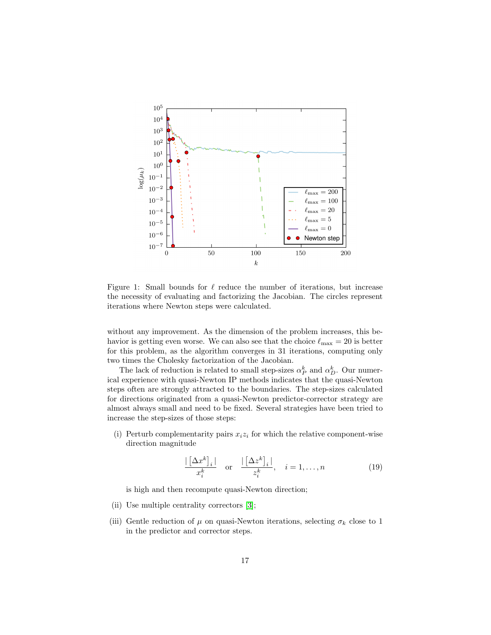

<span id="page-16-0"></span>Figure 1: Small bounds for  $\ell$  reduce the number of iterations, but increase the necessity of evaluating and factorizing the Jacobian. The circles represent iterations where Newton steps were calculated.

without any improvement. As the dimension of the problem increases, this behavior is getting even worse. We can also see that the choice  $\ell_{\text{max}} = 20$  is better for this problem, as the algorithm converges in 31 iterations, computing only two times the Cholesky factorization of the Jacobian.

The lack of reduction is related to small step-sizes  $\alpha_P^k$  and  $\alpha_D^k$ . Our numerical experience with quasi-Newton IP methods indicates that the quasi-Newton steps often are strongly attracted to the boundaries. The step-sizes calculated for directions originated from a quasi-Newton predictor-corrector strategy are almost always small and need to be fixed. Several strategies have been tried to increase the step-sizes of those steps:

<span id="page-16-1"></span>(i) Perturb complementarity pairs  $x_i z_i$  for which the relative component-wise direction magnitude

<span id="page-16-2"></span>
$$
\frac{|\left[\Delta x^{k}\right]_{i}|}{x_{i}^{k}} \quad \text{or} \quad \frac{|\left[\Delta z^{k}\right]_{i}|}{z_{i}^{k}}, \quad i = 1, \dots, n \tag{19}
$$

is high and then recompute quasi-Newton direction;

- <span id="page-16-3"></span>(ii) Use multiple centrality correctors [\[3\]](#page-24-0);
- <span id="page-16-4"></span>(iii) Gentle reduction of  $\mu$  on quasi-Newton iterations, selecting  $\sigma_k$  close to 1 in the predictor and corrector steps.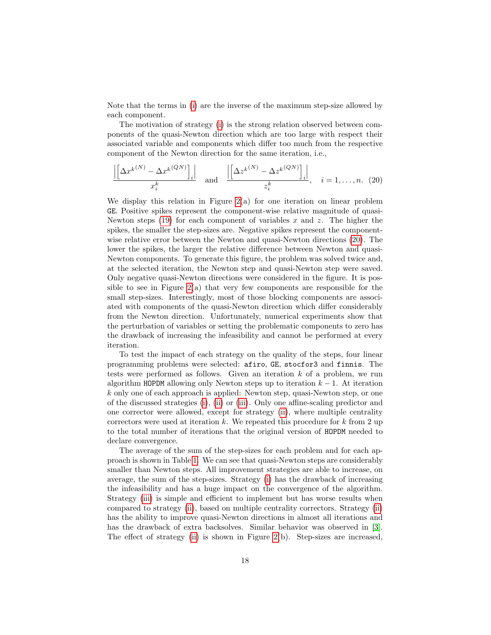Note that the terms in [\(i\)](#page-16-1) are the inverse of the maximum step-size allowed by each component.

The motivation of strategy [\(i\)](#page-16-1) is the strong relation observed between components of the quasi-Newton direction which are too large with respect their associated variable and components which differ too much from the respective component of the Newton direction for the same iteration, i.e.,

<span id="page-17-0"></span>
$$
\frac{\left| \left[ \Delta x^{k(N)} - \Delta x^{k(QN)} \right]_i \right|}{x_i^k} \quad \text{and} \quad \frac{\left| \left[ \Delta z^{k(N)} - \Delta z^{k(QN)} \right]_i \right|}{z_i^k}, \quad i = 1, \dots, n. \tag{20}
$$

We display this relation in Figure  $2(a)$  for one iteration on linear problem GE. Positive spikes represent the component-wise relative magnitude of quasi-Newton steps  $(19)$  for each component of variables x and z. The higher the spikes, the smaller the step-sizes are. Negative spikes represent the componentwise relative error between the Newton and quasi-Newton directions [\(20\)](#page-17-0). The lower the spikes, the larger the relative difference between Newton and quasi-Newton components. To generate this figure, the problem was solved twice and, at the selected iteration, the Newton step and quasi-Newton step were saved. Only negative quasi-Newton directions were considered in the figure. It is possible to see in Figure [2\(](#page-18-0)a) that very few components are responsible for the small step-sizes. Interestingly, most of those blocking components are associated with components of the quasi-Newton direction which differ considerably from the Newton direction. Unfortunately, numerical experiments show that the perturbation of variables or setting the problematic components to zero has the drawback of increasing the infeasibility and cannot be performed at every iteration.

To test the impact of each strategy on the quality of the steps, four linear programming problems were selected: afiro, GE, stocfor3 and finnis. The tests were performed as follows. Given an iteration  $k$  of a problem, we run algorithm HOPDM allowing only Newton steps up to iteration  $k - 1$ . At iteration k only one of each approach is applied: Newton step, quasi-Newton step, or one of the discussed strategies [\(i\)](#page-16-1), [\(ii\)](#page-16-3) or [\(iii\)](#page-16-4). Only one affine-scaling predictor and one corrector were allowed, except for strategy [\(ii\)](#page-16-3), where multiple centrality correctors were used at iteration  $k$ . We repeated this procedure for  $k$  from 2 up to the total number of iterations that the original version of HOPDM needed to declare convergence.

The average of the sum of the step-sizes for each problem and for each approach is shown in Table [1.](#page-19-1) We can see that quasi-Newton steps are considerably smaller than Newton steps. All improvement strategies are able to increase, on average, the sum of the step-sizes. Strategy [\(i\)](#page-16-1) has the drawback of increasing the infeasibility and has a huge impact on the convergence of the algorithm. Strategy [\(iii\)](#page-16-4) is simple and efficient to implement but has worse results when compared to strategy [\(ii\)](#page-16-3), based on multiple centrality correctors. Strategy [\(ii\)](#page-16-3) has the ability to improve quasi-Newton directions in almost all iterations and has the drawback of extra backsolves. Similar behavior was observed in [\[3\]](#page-24-0). The effect of strategy [\(ii\)](#page-16-3) is shown in Figure [2\(](#page-18-0)b). Step-sizes are increased,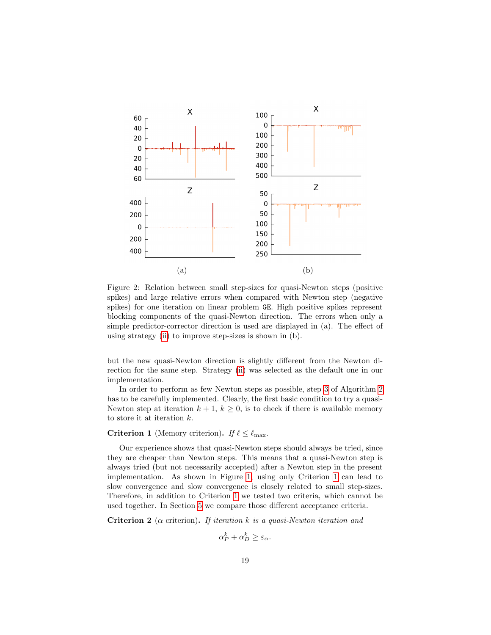

<span id="page-18-0"></span>Figure 2: Relation between small step-sizes for quasi-Newton steps (positive spikes) and large relative errors when compared with Newton step (negative spikes) for one iteration on linear problem GE. High positive spikes represent blocking components of the quasi-Newton direction. The errors when only a simple predictor-corrector direction is used are displayed in (a). The effect of using strategy [\(ii\)](#page-16-3) to improve step-sizes is shown in (b).

but the new quasi-Newton direction is slightly different from the Newton direction for the same step. Strategy [\(ii\)](#page-16-3) was selected as the default one in our implementation.

In order to perform as few Newton steps as possible, step [3](#page-12-3) of Algorithm [2](#page-12-1) has to be carefully implemented. Clearly, the first basic condition to try a quasi-Newton step at iteration  $k + 1$ ,  $k \geq 0$ , is to check if there is available memory to store it at iteration k.

#### <span id="page-18-1"></span>**Criterion 1** (Memory criterion). If  $\ell \leq \ell_{\text{max}}$ .

Our experience shows that quasi-Newton steps should always be tried, since they are cheaper than Newton steps. This means that a quasi-Newton step is always tried (but not necessarily accepted) after a Newton step in the present implementation. As shown in Figure [1,](#page-16-0) using only Criterion [1](#page-18-1) can lead to slow convergence and slow convergence is closely related to small step-sizes. Therefore, in addition to Criterion [1](#page-18-1) we tested two criteria, which cannot be used together. In Section [5](#page-19-0) we compare those different acceptance criteria.

<span id="page-18-2"></span>**Criterion 2** ( $\alpha$  criterion). If iteration k is a quasi-Newton iteration and

$$
\alpha_P^k + \alpha_D^k \ge \varepsilon_\alpha.
$$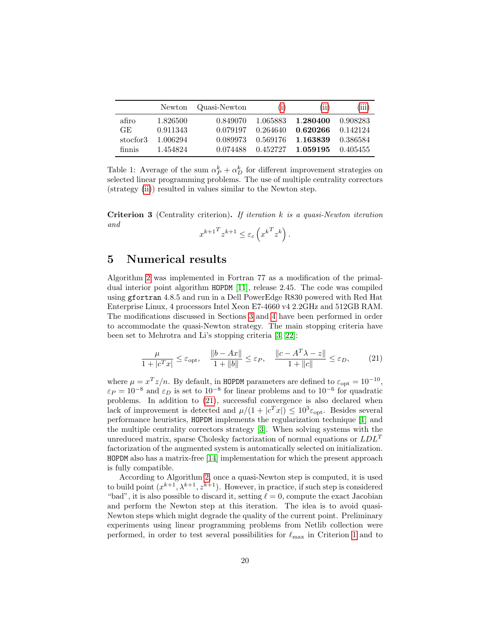|          | Newton   | Quasi-Newton | (i) | (ii)                             | (iii)    |
|----------|----------|--------------|-----|----------------------------------|----------|
| afiro    | 1.826500 | 0.849070     |     | 1.065883 1.280400                | 0.908283 |
| GE.      | 0.911343 | 0.079197     |     | $0.264640$ $0.620266$ $0.142124$ |          |
| stocfor3 | 1.006294 | 0.089973     |     | 0.569176 1.163839                | 0.386584 |
| finnis   | 1.454824 | 0.074488     |     | $0.452727$ 1.059195 0.405455     |          |

<span id="page-19-1"></span>Table 1: Average of the sum  $\alpha_P^k + \alpha_D^k$  for different improvement strategies on selected linear programming problems. The use of multiple centrality correctors (strategy [\(ii\)](#page-16-3)) resulted in values similar to the Newton step.

<span id="page-19-3"></span>**Criterion 3** (Centrality criterion). If iteration  $k$  is a quasi-Newton iteration and

$$
x^{k+1} \, z^{k+1} \le \varepsilon_c \left( x^{k} \, z^k \right).
$$

### <span id="page-19-0"></span>5 Numerical results

Algorithm [2](#page-12-1) was implemented in Fortran 77 as a modification of the primaldual interior point algorithm HOPDM [\[11\]](#page-25-10), release 2.45. The code was compiled using gfortran 4.8.5 and run in a Dell PowerEdge R830 powered with Red Hat Enterprise Linux, 4 processors Intel Xeon E7-4660 v4 2.2GHz and 512GB RAM. The modifications discussed in Sections [3](#page-6-0) and [4](#page-12-0) have been performed in order to accommodate the quasi-Newton strategy. The main stopping criteria have been set to Mehrotra and Li's stopping criteria [\[3,](#page-24-0) [22\]](#page-26-11):

<span id="page-19-2"></span>
$$
\frac{\mu}{1+|c^T x|} \le \varepsilon_{\text{opt}}, \quad \frac{\|b - Ax\|}{1+\|b\|} \le \varepsilon_P, \quad \frac{\|c - A^T \lambda - z\|}{1+\|c\|} \le \varepsilon_D, \tag{21}
$$

where  $\mu = x^T z/n$ . By default, in HOPDM parameters are defined to  $\varepsilon_{opt} = 10^{-10}$ ,  $\varepsilon_P = 10^{-8}$  and  $\varepsilon_D$  is set to  $10^{-8}$  for linear problems and to  $10^{-6}$  for quadratic problems. In addition to [\(21\)](#page-19-2), successful convergence is also declared when lack of improvement is detected and  $\mu/(1+|c^T x|) \leq 10^3 \varepsilon_{\rm opt}$ . Besides several performance heuristics, HOPDM implements the regularization technique [\[1\]](#page-24-2) and the multiple centrality correctors strategy [\[3\]](#page-24-0). When solving systems with the unreduced matrix, sparse Cholesky factorization of normal equations or  $LDL<sup>T</sup>$ factorization of the augmented system is automatically selected on initialization. HOPDM also has a matrix-free [\[14\]](#page-25-11) implementation for which the present approach is fully compatible.

According to Algorithm [2,](#page-12-1) once a quasi-Newton step is computed, it is used to build point  $(x^{k+1}, \lambda^{k+1}, z^{k+1})$ . However, in practice, if such step is considered "bad", it is also possible to discard it, setting  $\ell = 0$ , compute the exact Jacobian and perform the Newton step at this iteration. The idea is to avoid quasi-Newton steps which might degrade the quality of the current point. Preliminary experiments using linear programming problems from Netlib collection were performed, in order to test several possibilities for  $\ell_{\text{max}}$  in Criterion [1](#page-18-1) and to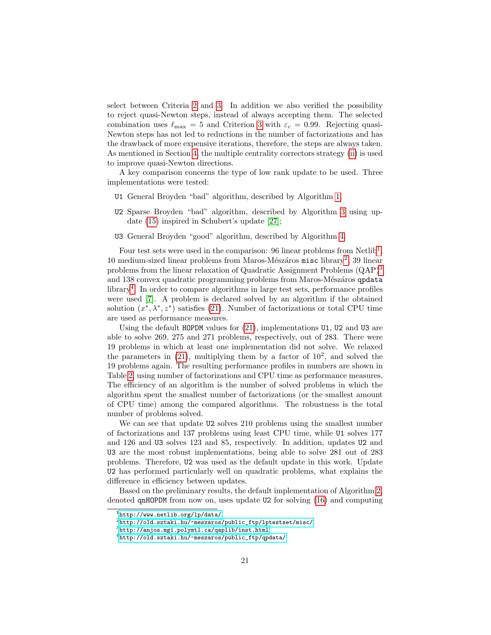select between Criteria [2](#page-18-2) and [3.](#page-19-3) In addition we also verified the possibility to reject quasi-Newton steps, instead of always accepting them. The selected combination uses  $\ell_{\text{max}} = 5$  and Criterion [3](#page-19-3) with  $\varepsilon_c = 0.99$ . Rejecting quasi-Newton steps has not led to reductions in the number of factorizations and has the drawback of more expensive iterations, therefore, the steps are always taken. As mentioned in Section [4,](#page-12-0) the multiple centrality correctors strategy [\(ii\)](#page-16-3) is used to improve quasi-Newton directions.

A key comparison concerns the type of low rank update to be used. Three implementations were tested:

- U1 General Broyden "bad" algorithm, described by Algorithm [1;](#page-6-1)
- U2 Sparse Broyden "bad" algorithm, described by Algorithm [3](#page-14-0) using update [\(15\)](#page-8-0) inspired in Schubert's update [\[27\]](#page-26-8);
- U3 General Broyden "good" algorithm, described by Algorithm [4.](#page-15-0)

Four test sets were used in the comparison:  $96$  linear problems from Netlib<sup>[1](#page-20-0)</sup>, 10 medium-sized linear problems from Maros-Mészáros misc library<sup>[2](#page-20-1)</sup>, 39 linear problems from the linear relaxation of Quadratic Assignment Problems (QAP)[3](#page-20-2) and 138 convex quadratic programming problems from Maros-Mészáros qpdata library<sup>[4](#page-20-3)</sup>. In order to compare algorithms in large test sets, performance profiles were used [\[7\]](#page-25-12). A problem is declared solved by an algorithm if the obtained solution  $(x^*, \lambda^*, z^*)$  satisfies [\(21\)](#page-19-2). Number of factorizations or total CPU time are used as performance measures.

Using the default HOPDM values for  $(21)$ , implementations U1, U2 and U3 are able to solve 269, 275 and 271 problems, respectively, out of 283. There were 19 problems in which at least one implementation did not solve. We relaxed the parameters in  $(21)$ , multiplying them by a factor of  $10^2$ , and solved the 19 problems again. The resulting performance profiles in numbers are shown in Table [2,](#page-21-0) using number of factorizations and CPU time as performance measures. The efficiency of an algorithm is the number of solved problems in which the algorithm spent the smallest number of factorizations (or the smallest amount of CPU time) among the compared algorithms. The robustness is the total number of problems solved.

We can see that update U2 solves 210 problems using the smallest number of factorizations and 137 problems using least CPU time, while U1 solves 177 and 126 and U3 solves 123 and 85, respectively. In addition, updates U2 and U3 are the most robust implementations, being able to solve 281 out of 283 problems. Therefore, U2 was used as the default update in this work. Update U2 has performed particularly well on quadratic problems, what explains the difference in efficiency between updates.

Based on the preliminary results, the default implementation of Algorithm [2,](#page-12-1) denoted qnHOPDM from now on, uses update U2 for solving [\(16\)](#page-9-0) and computing

<span id="page-20-0"></span> $1$ <http://www.netlib.org/lp/data/>

<span id="page-20-1"></span> $^{2}$ [http://old.sztaki.hu/~meszaros/public\\_ftp/lptestset/misc/](http://old.sztaki.hu/~meszaros/public_ftp/lptestset/misc/)

<span id="page-20-2"></span> $^3$ <http://anjos.mgi.polymtl.ca/qaplib/inst.html>

<span id="page-20-3"></span><sup>4</sup>[http://old.sztaki.hu/~meszaros/public\\_ftp/qpdata/](http://old.sztaki.hu/~meszaros/public_ftp/qpdata/)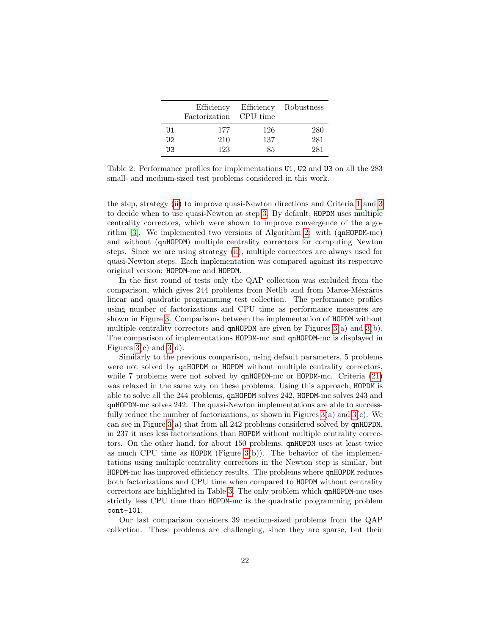|    | Efficiency<br>Factorization | CPU time | Efficiency Robustness |
|----|-----------------------------|----------|-----------------------|
| U1 | 177                         | 126      | 280                   |
| U2 | 210                         | 137      | 281                   |
| UЗ | 123                         | 85       | 281                   |

<span id="page-21-0"></span>Table 2: Performance profiles for implementations U1, U2 and U3 on all the 283 small- and medium-sized test problems considered in this work.

the step, strategy [\(ii\)](#page-16-3) to improve quasi-Newton directions and Criteria [1](#page-18-1) and [3](#page-19-3) to decide when to use quasi-Newton at step [3.](#page-12-3) By default, HOPDM uses multiple centrality correctors, which were shown to improve convergence of the algorithm [\[3\]](#page-24-0). We implemented two versions of Algorithm [2:](#page-12-1) with (qnHOPDM-mc) and without (qnHOPDM) multiple centrality correctors for computing Newton steps. Since we are using strategy [\(ii\)](#page-16-3), multiple correctors are always used for quasi-Newton steps. Each implementation was compared against its respective original version: HOPDM-mc and HOPDM.

In the first round of tests only the QAP collection was excluded from the comparison, which gives 244 problems from Netlib and from Maros-Mészáros linear and quadratic programming test collection. The performance profiles using number of factorizations and CPU time as performance measures are shown in Figure [3.](#page-22-0) Comparisons between the implementation of HOPDM without multiple centrality correctors and  $\alpha$ HOPDM are given by Figures [3\(](#page-22-0)a) and 3(b). The comparison of implementations HOPDM-mc and qnHOPDM-mc is displayed in Figures  $3(c)$  and  $3(d)$ .

Similarly to the previous comparison, using default parameters, 5 problems were not solved by qnHOPDM or HOPDM without multiple centrality correctors, while 7 problems were not solved by **qnHOPDM-mc** or **HOPDM-mc.** Criteria [\(21\)](#page-19-2) was relaxed in the same way on these problems. Using this approach, HOPDM is able to solve all the 244 problems, qnHOPDM solves 242, HOPDM-mc solves 243 and qnHOPDM-mc solves 242. The quasi-Newton implementations are able to successfully reduce the number of factorizations, as shown in Figures  $3(a)$  and  $3(c)$ . We can see in Figure [3\(](#page-22-0)a) that from all 242 problems considered solved by qnHOPDM, in 237 it uses less factorizations than HOPDM without multiple centrality correctors. On the other hand, for about 150 problems, qnHOPDM uses at least twice as much CPU time as  $HOPDM$  (Figure [3\(](#page-22-0)b)). The behavior of the implementations using multiple centrality correctors in the Newton step is similar, but HOPDM-mc has improved efficiency results. The problems where qnHOPDM reduces both factorizations and CPU time when compared to HOPDM without centrality correctors are highlighted in Table [3.](#page-23-1) The only problem which qnHOPDM-mc uses strictly less CPU time than HOPDM-mc is the quadratic programming problem cont-101.

Our last comparison considers 39 medium-sized problems from the QAP collection. These problems are challenging, since they are sparse, but their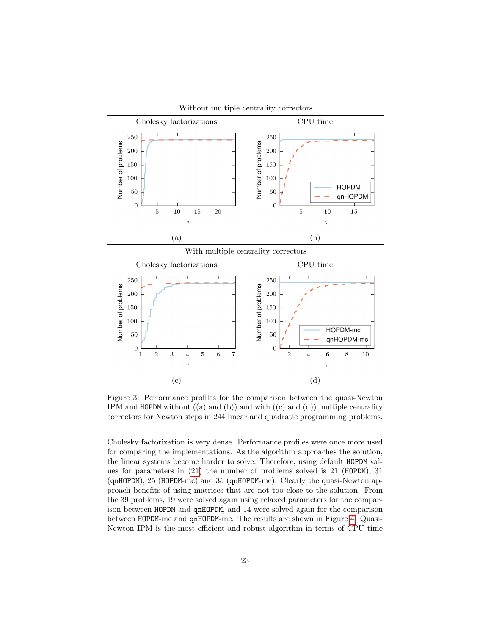

<span id="page-22-0"></span>Figure 3: Performance profiles for the comparison between the quasi-Newton IPM and HOPDM without  $((a)$  and  $(b))$  and with  $((c)$  and  $(d))$  multiple centrality correctors for Newton steps in 244 linear and quadratic programming problems.

Cholesky factorization is very dense. Performance profiles were once more used for comparing the implementations. As the algorithm approaches the solution, the linear systems become harder to solve. Therefore, using default HOPDM values for parameters in [\(21\)](#page-19-2) the number of problems solved is 21 (HOPDM), 31 (qnHOPDM), 25 (HOPDM-mc) and 35 (qnHOPDM-mc). Clearly the quasi-Newton approach benefits of using matrices that are not too close to the solution. From the 39 problems, 19 were solved again using relaxed parameters for the comparison between HOPDM and qnHOPDM, and 14 were solved again for the comparison between HOPDM-mc and qnHOPDM-mc. The results are shown in Figure [4.](#page-24-3) Quasi-Newton IPM is the most efficient and robust algorithm in terms of CPU time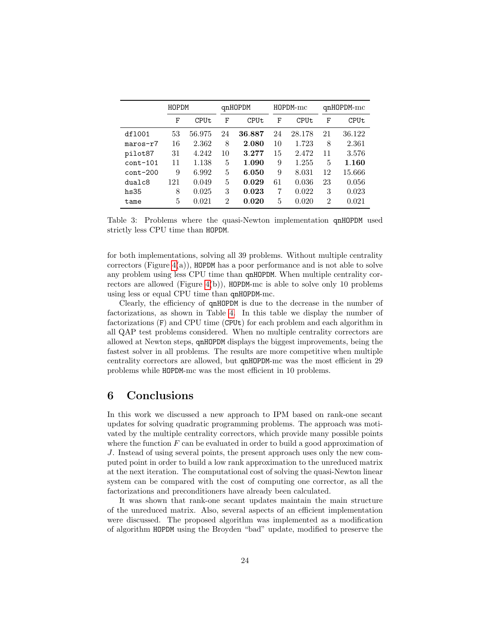|            | HOPDM |        |                | qnHOPDM |    | $HOPDM-mc$ | $qnHOPDM-mc$   |        |
|------------|-------|--------|----------------|---------|----|------------|----------------|--------|
|            | F     | CPUt   | F              | CPUt    | F  | CPUt       | F              | CPUt   |
| df1001     | 53    | 56.975 | 24             | 36.887  | 24 | 28.178     | 21             | 36.122 |
| $maros-r7$ | 16    | 2.362  | 8              | 2.080   | 10 | 1.723      | 8              | 2.361  |
| pilot87    | 31    | 4.242  | 10             | 3.277   | 15 | 2.472      | 11             | 3.576  |
| $cont-101$ | 11    | 1.138  | 5              | 1.090   | 9  | 1.255      | 5              | 1.160  |
| $cont-200$ | 9     | 6.992  | 5              | 6.050   | 9  | 8.031      | 12             | 15.666 |
| dualc8     | 121   | 0.049  | 5              | 0.029   | 61 | 0.036      | 23             | 0.056  |
| hs35       | 8     | 0.025  | 3              | 0.023   | 7  | 0.022      | 3              | 0.023  |
| tame       | 5     | 0.021  | $\overline{2}$ | 0.020   | 5  | 0.020      | $\overline{2}$ | 0.021  |

<span id="page-23-1"></span>Table 3: Problems where the quasi-Newton implementation qnHOPDM used strictly less CPU time than HOPDM.

for both implementations, solving all 39 problems. Without multiple centrality correctors (Figure  $4(a)$ ), HOPDM has a poor performance and is not able to solve any problem using less CPU time than qnHOPDM. When multiple centrality cor-rectors are allowed (Figure [4\(](#page-24-3)b)),  $HOPDM$ mc is able to solve only 10 problems using less or equal CPU time than qnHOPDM-mc.

Clearly, the efficiency of qnHOPDM is due to the decrease in the number of factorizations, as shown in Table [4.](#page-27-0) In this table we display the number of factorizations (F) and CPU time (CPUt) for each problem and each algorithm in all QAP test problems considered. When no multiple centrality correctors are allowed at Newton steps, qnHOPDM displays the biggest improvements, being the fastest solver in all problems. The results are more competitive when multiple centrality correctors are allowed, but qnHOPDM-mc was the most efficient in 29 problems while HOPDM-mc was the most efficient in 10 problems.

### <span id="page-23-0"></span>6 Conclusions

In this work we discussed a new approach to IPM based on rank-one secant updates for solving quadratic programming problems. The approach was motivated by the multiple centrality correctors, which provide many possible points where the function  $F$  can be evaluated in order to build a good approximation of J. Instead of using several points, the present approach uses only the new computed point in order to build a low rank approximation to the unreduced matrix at the next iteration. The computational cost of solving the quasi-Newton linear system can be compared with the cost of computing one corrector, as all the factorizations and preconditioners have already been calculated.

It was shown that rank-one secant updates maintain the main structure of the unreduced matrix. Also, several aspects of an efficient implementation were discussed. The proposed algorithm was implemented as a modification of algorithm HOPDM using the Broyden "bad" update, modified to preserve the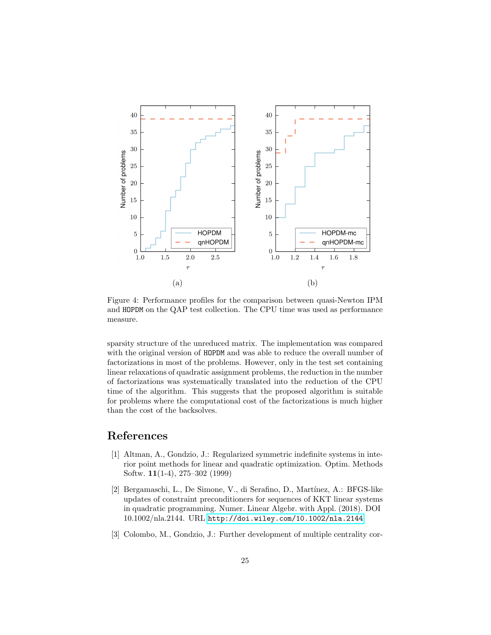

<span id="page-24-3"></span>Figure 4: Performance profiles for the comparison between quasi-Newton IPM and HOPDM on the QAP test collection. The CPU time was used as performance measure.

sparsity structure of the unreduced matrix. The implementation was compared with the original version of HOPDM and was able to reduce the overall number of factorizations in most of the problems. However, only in the test set containing linear relaxations of quadratic assignment problems, the reduction in the number of factorizations was systematically translated into the reduction of the CPU time of the algorithm. This suggests that the proposed algorithm is suitable for problems where the computational cost of the factorizations is much higher than the cost of the backsolves.

## References

- <span id="page-24-2"></span>[1] Altman, A., Gondzio, J.: Regularized symmetric indefinite systems in interior point methods for linear and quadratic optimization. Optim. Methods Softw. 11(1-4), 275–302 (1999)
- <span id="page-24-1"></span>[2] Bergamaschi, L., De Simone, V., di Serafino, D., Martínez, A.: BFGS-like updates of constraint preconditioners for sequences of KKT linear systems in quadratic programming. Numer. Linear Algebr. with Appl. (2018). DOI 10.1002/nla.2144. URL <http://doi.wiley.com/10.1002/nla.2144>
- <span id="page-24-0"></span>[3] Colombo, M., Gondzio, J.: Further development of multiple centrality cor-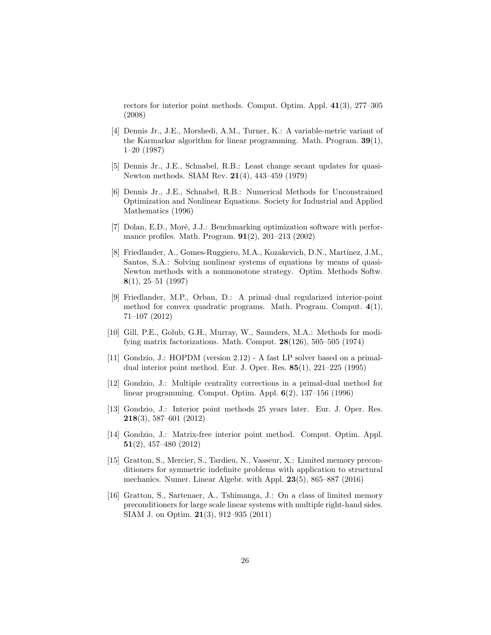rectors for interior point methods. Comput. Optim. Appl. 41(3), 277–305 (2008)

- <span id="page-25-4"></span>[4] Dennis Jr., J.E., Morshedi, A.M., Turner, K.: A variable-metric variant of the Karmarkar algorithm for linear programming. Math. Program. 39(1), 1–20 (1987)
- <span id="page-25-7"></span>[5] Dennis Jr., J.E., Schnabel, R.B.: Least change secant updates for quasi-Newton methods. SIAM Rev. 21(4), 443–459 (1979)
- <span id="page-25-3"></span>[6] Dennis Jr., J.E., Schnabel, R.B.: Numerical Methods for Unconstrained Optimization and Nonlinear Equations. Society for Industrial and Applied Mathematics (1996)
- <span id="page-25-12"></span>[7] Dolan, E.D., Moré, J.J.: Benchmarking optimization software with performance profiles. Math. Program. 91(2), 201–213 (2002)
- <span id="page-25-1"></span>[8] Friedlander, A., Gomes-Ruggiero, M.A., Kozakevich, D.N., Martínez, J.M., Santos, S.A.: Solving nonlinear systems of equations by means of quasi-Newton methods with a nonmonotone strategy. Optim. Methods Softw. 8(1), 25–51 (1997)
- <span id="page-25-9"></span>[9] Friedlander, M.P., Orban, D.: A primal–dual regularized interior-point method for convex quadratic programs. Math. Program. Comput. 4(1), 71–107 (2012)
- <span id="page-25-8"></span>[10] Gill, P.E., Golub, G.H., Murray, W., Saunders, M.A.: Methods for modifying matrix factorizations. Math. Comput.  $28(126)$ , 505–505 (1974)
- <span id="page-25-10"></span>[11] Gondzio, J.: HOPDM (version 2.12) - A fast LP solver based on a primaldual interior point method. Eur. J. Oper. Res. 85(1), 221–225 (1995)
- <span id="page-25-2"></span>[12] Gondzio, J.: Multiple centrality corrections in a primal-dual method for linear programming. Comput. Optim. Appl. 6(2), 137–156 (1996)
- <span id="page-25-0"></span>[13] Gondzio, J.: Interior point methods 25 years later. Eur. J. Oper. Res. 218(3), 587–601 (2012)
- <span id="page-25-11"></span>[14] Gondzio, J.: Matrix-free interior point method. Comput. Optim. Appl. 51(2), 457–480 (2012)
- <span id="page-25-6"></span>[15] Gratton, S., Mercier, S., Tardieu, N., Vasseur, X.: Limited memory preconditioners for symmetric indefinite problems with application to structural mechanics. Numer. Linear Algebr. with Appl. 23(5), 865–887 (2016)
- <span id="page-25-5"></span>[16] Gratton, S., Sartenaer, A., Tshimanga, J.: On a class of limited memory preconditioners for large scale linear systems with multiple right-hand sides. SIAM J. on Optim. 21(3), 912–935 (2011)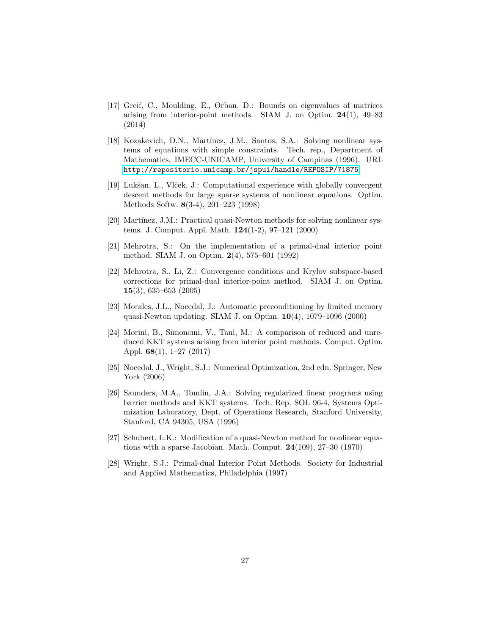- <span id="page-26-3"></span>[17] Greif, C., Moulding, E., Orban, D.: Bounds on eigenvalues of matrices arising from interior-point methods. SIAM J. on Optim. 24(1), 49–83 (2014)
- <span id="page-26-1"></span>[18] Kozakevich, D.N., Martínez, J.M., Santos, S.A.: Solving nonlinear systems of equations with simple constraints. Tech. rep., Department of Mathematics, IMECC-UNICAMP, University of Campinas (1996). URL <http://repositorio.unicamp.br/jspui/handle/REPOSIP/71875>
- <span id="page-26-10"></span>[19] Lukšan, L., Vlček, J.: Computational experience with globally convergent descent methods for large sparse systems of nonlinear equations. Optim. Methods Softw. 8(3-4), 201–223 (1998)
- <span id="page-26-5"></span>[20] Martínez, J.M.: Practical quasi-Newton methods for solving nonlinear systems. J. Comput. Appl. Math. 124(1-2), 97–121 (2000)
- <span id="page-26-2"></span>[21] Mehrotra, S.: On the implementation of a primal-dual interior point method. SIAM J. on Optim. 2(4), 575–601 (1992)
- <span id="page-26-11"></span>[22] Mehrotra, S., Li, Z.: Convergence conditions and Krylov subspace-based corrections for primal-dual interior-point method. SIAM J. on Optim. 15(3), 635–653 (2005)
- <span id="page-26-7"></span>[23] Morales, J.L., Nocedal, J.: Automatic preconditioning by limited memory quasi-Newton updating. SIAM J. on Optim. 10(4), 1079–1096 (2000)
- <span id="page-26-4"></span>[24] Morini, B., Simoncini, V., Tani, M.: A comparison of reduced and unreduced KKT systems arising from interior point methods. Comput. Optim. Appl. 68(1), 1–27 (2017)
- <span id="page-26-6"></span>[25] Nocedal, J., Wright, S.J.: Numerical Optimization, 2nd edn. Springer, New York (2006)
- <span id="page-26-9"></span>[26] Saunders, M.A., Tomlin, J.A.: Solving regularized linear programs using barrier methods and KKT systems. Tech. Rep. SOL 96-4, Systems Optimization Laboratory, Dept. of Operations Research, Stanford University, Stanford, CA 94305, USA (1996)
- <span id="page-26-8"></span>[27] Schubert, L.K.: Modification of a quasi-Newton method for nonlinear equations with a sparse Jacobian. Math. Comput. 24(109), 27–30 (1970)
- <span id="page-26-0"></span>[28] Wright, S.J.: Primal-dual Interior Point Methods. Society for Industrial and Applied Mathematics, Philadelphia (1997)